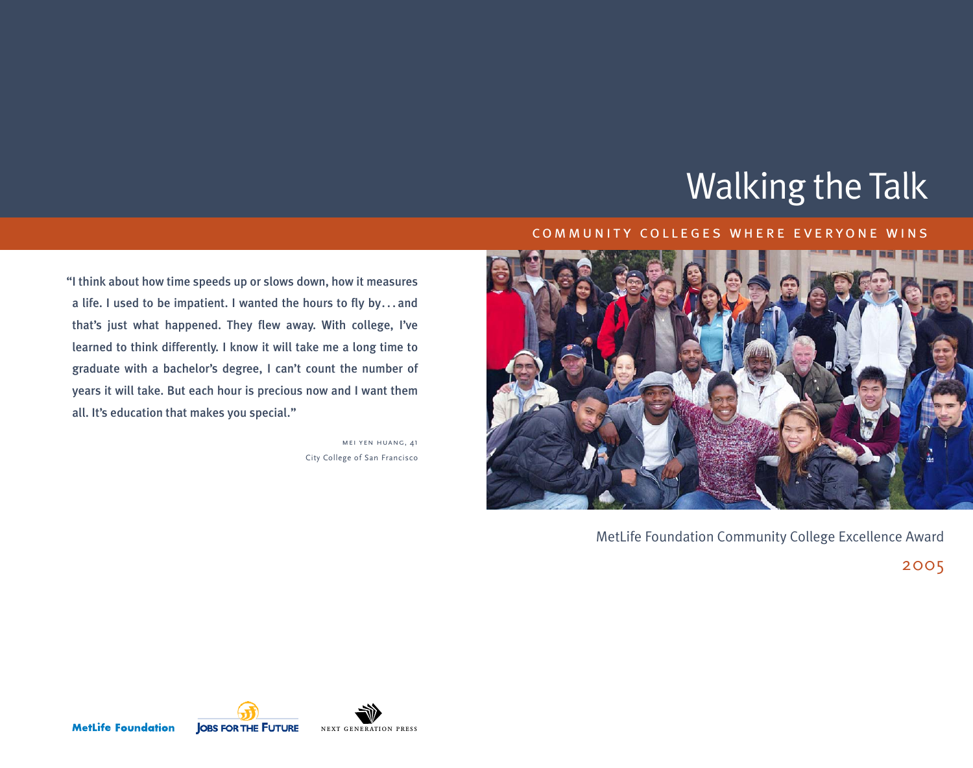# Walking the Talk

# "I think about how time speeds up or slows down, how it measures a life. I used to be impatient. I wanted the hours to fly by. . . and that's just what happened. They flew away. With college, I've learned to think differently. I know it will take me a long time to graduate with a bachelor's degree, I can't count the number of years it will take. But each hour is precious now and I want them all. It's education that makes you special."

mei yen huang, 41 City College of San Francisco

### c ommunity colleges where everyone wins



MetLife Foundation Community College Excellence Award

2005

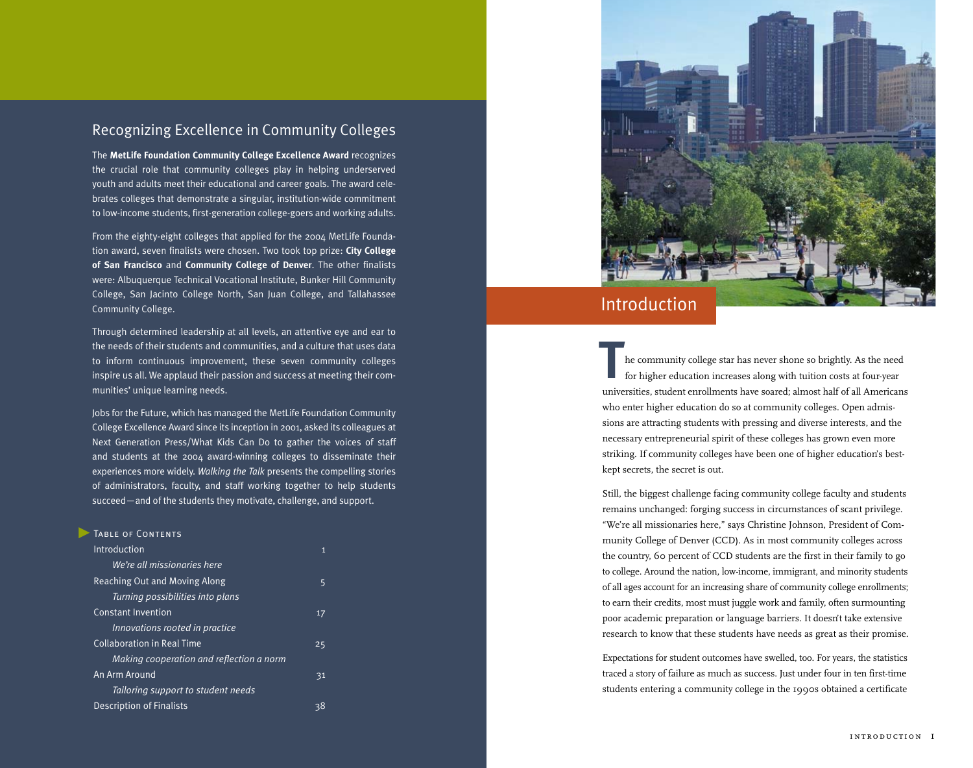### Recognizing Excellence in Community Colleges

The **MetLife Foundation Community College Excellence Award** recognizes the crucial role that community colleges play in helping underserved youth and adults meet their educational and career goals. The award celebrates colleges that demonstrate a singular, institution-wide commitment to low-income students, first-generation college-goers and working adults.

From the eighty-eight colleges that applied for the 2004 MetLife Foundation award, seven finalists were chosen. Two took top prize: **City College of San Francisco** and **Community College of Denver**. The other finalists were: Albuquerque Technical Vocational Institute, Bunker Hill Community College, San Jacinto College North, San Juan College, and Tallahassee Community College.

Through determined leadership at all levels, an attentive eye and ear to the needs of their students and communities, and a culture that uses data to inform continuous improvement, these seven community colleges inspire us all. We applaud their passion and success at meeting their communities' unique learning needs.

Jobs for the Future, which has managed the MetLife Foundation Community College Excellence Award since its inception in 2001, asked its colleagues at Next Generation Press/What Kids Can Do to gather the voices of staff and students at the 2004 award-winning colleges to disseminate their experiences more widely. *Walking the Talk* presents the compelling stories of administrators, faculty, and staff working together to help students succeed—and of the students they motivate, challenge, and support.

| TABLE OF CONTENTS                        |    |  |
|------------------------------------------|----|--|
| Introduction                             | 1  |  |
| We're all missionaries here              |    |  |
| Reaching Out and Moving Along            | 5  |  |
| Turning possibilities into plans         |    |  |
| <b>Constant Invention</b>                | 17 |  |
| Innovations rooted in practice           |    |  |
| <b>Collaboration in Real Time</b>        | 25 |  |
| Making cooperation and reflection a norm |    |  |
| An Arm Around                            | 31 |  |
| Tailoring support to student needs       |    |  |
| <b>Description of Finalists</b>          | 38 |  |
|                                          |    |  |



# Introduction

he community college star has never shone so brightly. As the need for higher education increases along with tuition costs at four-year universities, student enrollments have soared; almost half of all Americans who enter higher education do so at community colleges. Open admissions are attracting students with pressing and diverse interests, and the necessary entrepreneurial spirit of these colleges has grown even more striking. If community colleges have been one of higher education's bestkept secrets, the secret is out. **T**

Still, the biggest challenge facing community college faculty and students remains unchanged: forging success in circumstances of scant privilege. "We're all missionaries here," says Christine Johnson, President of Community College of Denver (CCD). As in most community colleges across the country, 60 percent of CCD students are the first in their family to go to college. Around the nation, low-income, immigrant, and minority students of all ages account for an increasing share of community college enrollments; to earn their credits, most must juggle work and family, often surmounting poor academic preparation or language barriers. It doesn't take extensive research to know that these students have needs as great as their promise.

Expectations for student outcomes have swelled, too. For years, the statistics traced a story of failure as much as success. Just under four in ten first-time students entering a community college in the 1990s obtained a certificate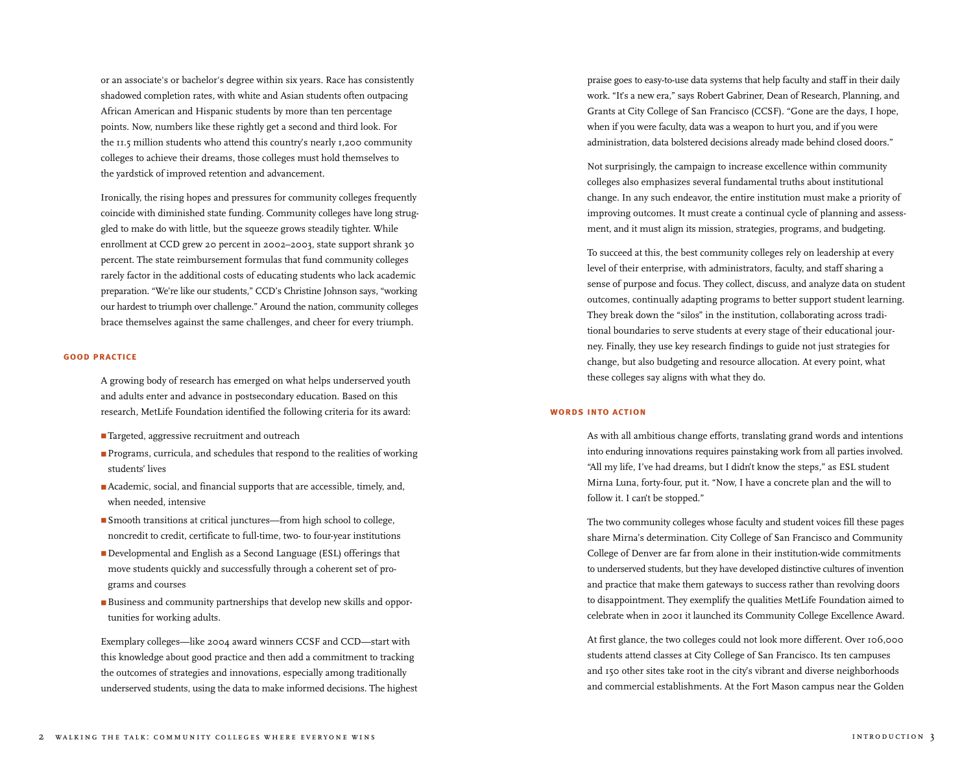or an associate's or bachelor's degree within six years. Race has consistently shadowed completion rates, with white and Asian students often outpacing African American and Hispanic students by more than ten percentage points. Now, numbers like these rightly get a second and third look. For the 11.5 million students who attend this country's nearly 1,200 community colleges to achieve their dreams, those colleges must hold themselves to the yardstick of improved retention and advancement.

Ironically, the rising hopes and pressures for community colleges frequently coincide with diminished state funding. Community colleges have long struggled to make do with little, but the squeeze grows steadily tighter. While enrollment at CCD grew 20 percent in 2002–2003, state support shrank 30 percent. The state reimbursement formulas that fund community colleges rarely factor in the additional costs of educating students who lack academic preparation. "We're like our students," CCD's Christine Johnson says, "working our hardest to triumph over challenge." Around the nation, community colleges brace themselves against the same challenges, and cheer for every triumph.

#### **good practice**

A growing body of research has emerged on what helps underserved youth and adults enter and advance in postsecondary education. Based on this research, MetLife Foundation identified the following criteria for its award:

- Targeted, aggressive recruitment and outreach
- Programs, curricula, and schedules that respond to the realities of working students' lives
- Academic, social, and financial supports that are accessible, timely, and, when needed, intensive
- Smooth transitions at critical junctures—from high school to college, noncredit to credit, certificate to full-time, two- to four-year institutions
- Developmental and English as a Second Language (ESL) offerings that move students quickly and successfully through a coherent set of programs and courses
- Business and community partnerships that develop new skills and opportunities for working adults.

Exemplary colleges—like 2004 award winners CCSF and CCD—start with this knowledge about good practice and then add a commitment to tracking the outcomes of strategies and innovations, especially among traditionally underserved students, using the data to make informed decisions. The highest praise goes to easy-to-use data systems that help faculty and staff in their daily work. "It's a new era," says Robert Gabriner, Dean of Research, Planning, and Grants at City College of San Francisco (CCSF). "Gone are the days, I hope, when if you were faculty, data was a weapon to hurt you, and if you were administration, data bolstered decisions already made behind closed doors."

Not surprisingly, the campaign to increase excellence within community colleges also emphasizes several fundamental truths about institutional change. In any such endeavor, the entire institution must make a priority of improving outcomes. It must create a continual cycle of planning and assessment, and it must align its mission, strategies, programs, and budgeting.

To succeed at this, the best community colleges rely on leadership at every level of their enterprise, with administrators, faculty, and staff sharing a sense of purpose and focus. They collect, discuss, and analyze data on student outcomes, continually adapting programs to better support student learning. They break down the "silos" in the institution, collaborating across traditional boundaries to serve students at every stage of their educational journey. Finally, they use key research findings to guide not just strategies for change, but also budgeting and resource allocation. At every point, what these colleges say aligns with what they do.

### **words into action**

As with all ambitious change efforts, translating grand words and intentions into enduring innovations requires painstaking work from all parties involved. "All my life, I've had dreams, but I didn't know the steps," as ESL student Mirna Luna, forty-four, put it. "Now, I have a concrete plan and the will to follow it. I can't be stopped."

The two community colleges whose faculty and student voices fill these pages share Mirna's determination. City College of San Francisco and Community College of Denver are far from alone in their institution-wide commitments to underserved students, but they have developed distinctive cultures of invention and practice that make them gateways to success rather than revolving doors to disappointment. They exemplify the qualities MetLife Foundation aimed to celebrate when in 2001 it launched its Community College Excellence Award.

At first glance, the two colleges could not look more different. Over 106,000 students attend classes at City College of San Francisco. Its ten campuses and 150 other sites take root in the city's vibrant and diverse neighborhoods and commercial establishments. At the Fort Mason campus near the Golden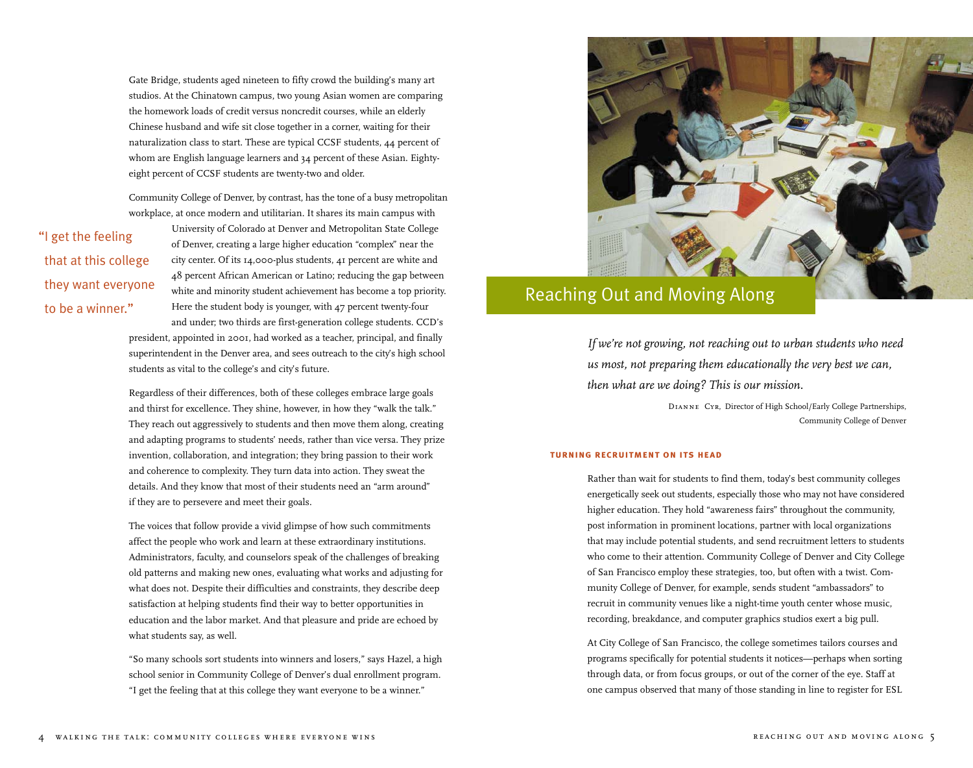Gate Bridge, students aged nineteen to fifty crowd the building's many art studios. At the Chinatown campus, two young Asian women are comparing the homework loads of credit versus noncredit courses, while an elderly Chinese husband and wife sit close together in a corner, waiting for their naturalization class to start. These are typical CCSF students, 44 percent of whom are English language learners and 34 percent of these Asian. Eightyeight percent of CCSF students are twenty-two and older.

Community College of Denver, by contrast, has the tone of a busy metropolitan workplace, at once modern and utilitarian. It shares its main campus with

# "I get the feeling that at this college they want everyone to be a winner."

University of Colorado at Denver and Metropolitan State College of Denver, creating a large higher education "complex" near the city center. Of its 14,000-plus students, 41 percent are white and 48 percent African American or Latino; reducing the gap between white and minority student achievement has become a top priority. Here the student body is younger, with 47 percent twenty-four

and under; two thirds are first-generation college students. CCD's president, appointed in 2001, had worked as a teacher, principal, and finally superintendent in the Denver area, and sees outreach to the city's high school students as vital to the college's and city's future.

Regardless of their differences, both of these colleges embrace large goals and thirst for excellence. They shine, however, in how they "walk the talk." They reach out aggressively to students and then move them along, creating and adapting programs to students' needs, rather than vice versa. They prize invention, collaboration, and integration; they bring passion to their work and coherence to complexity. They turn data into action. They sweat the details. And they know that most of their students need an "arm around" if they are to persevere and meet their goals.

The voices that follow provide a vivid glimpse of how such commitments affect the people who work and learn at these extraordinary institutions. Administrators, faculty, and counselors speak of the challenges of breaking old patterns and making new ones, evaluating what works and adjusting for what does not. Despite their difficulties and constraints, they describe deep satisfaction at helping students find their way to better opportunities in education and the labor market. And that pleasure and pride are echoed by what students say, as well.

"So many schools sort students into winners and losers," says Hazel, a high school senior in Community College of Denver's dual enrollment program. "I get the feeling that at this college they want everyone to be a winner."



# Reaching Out and Moving Along

*If we're not growing, not reaching out to urban students who need us most, not preparing them educationally the very best we can, then what are we doing? This is our mission.* 

> *Dianne Cyr,* Director of High School/Early College Partnerships, Community College of Denver

#### **turning recruitment on its head**

Rather than wait for students to find them, today's best community colleges energetically seek out students, especially those who may not have considered higher education. They hold "awareness fairs" throughout the community, post information in prominent locations, partner with local organizations that may include potential students, and send recruitment letters to students who come to their attention. Community College of Denver and City College of San Francisco employ these strategies, too, but often with a twist. Community College of Denver, for example, sends student "ambassadors" to recruit in community venues like a night-time youth center whose music, recording, breakdance, and computer graphics studios exert a big pull.

At City College of San Francisco, the college sometimes tailors courses and programs specifically for potential students it notices—perhaps when sorting through data, or from focus groups, or out of the corner of the eye. Staff at one campus observed that many of those standing in line to register for ESL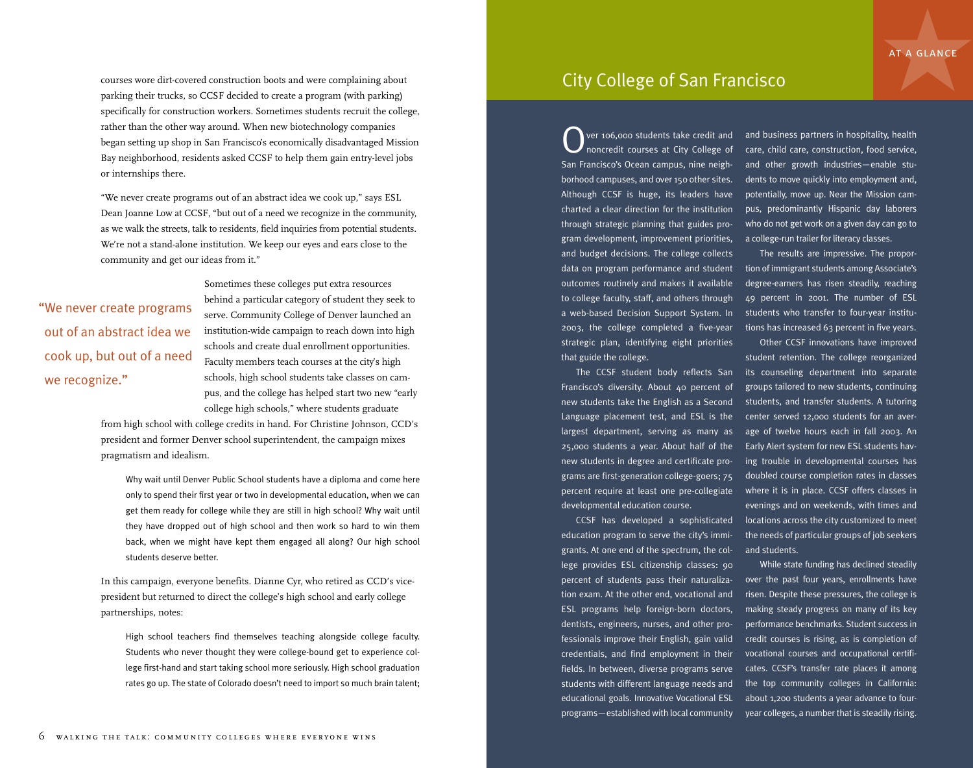courses wore dirt-covered construction boots and were complaining about parking their trucks, so CCSF decided to create a program (with parking) specifically for construction workers. Sometimes students recruit the college, rather than the other way around. When new biotechnology companies began setting up shop in San Francisco's economically disadvantaged Mission Bay neighborhood, residents asked CCSF to help them gain entry-level jobs or internships there.

"We never create programs out of an abstract idea we cook up," says ESL Dean Joanne Low at CCSF, "but out of a need we recognize in the community, as we walk the streets, talk to residents, field inquiries from potential students. We're not a stand-alone institution. We keep our eyes and ears close to the community and get our ideas from it."

# "We never create programs out of an abstract idea we cook up, but out of a need we recognize."

Sometimes these colleges put extra resources behind a particular category of student they seek to serve. Community College of Denver launched an institution-wide campaign to reach down into high schools and create dual enrollment opportunities. Faculty members teach courses at the city's high schools, high school students take classes on campus, and the college has helped start two new "early college high schools," where students graduate

from high school with college credits in hand. For Christine Johnson, CCD's president and former Denver school superintendent, the campaign mixes pragmatism and idealism.

Why wait until Denver Public School students have a diploma and come here only to spend their first year or two in developmental education, when we can get them ready for college while they are still in high school? Why wait until they have dropped out of high school and then work so hard to win them back, when we might have kept them engaged all along? Our high school students deserve better.

In this campaign, everyone benefits. Dianne Cyr, who retired as CCD's vicepresident but returned to direct the college's high school and early college partnerships, notes:

High school teachers find themselves teaching alongside college faculty. Students who never thought they were college-bound get to experience college first-hand and start taking school more seriously. High school graduation rates go up. The state of Colorado doesn't need to import so much brain talent;

# City College of San Francisco

Over 106,000 students take credit and and business partners in hospitality, health<br>noncredit courses at City College of care, child care, construction, food service, San Francisco's Ocean campus, nine neighborhood campuses, and over 150 other sites. Although CCSF is huge, its leaders have charted a clear direction for the institution through strategic planning that guides program development, improvement priorities, a college-run trailer for literacy classes. and budget decisions. The college collects data on program performance and student tion of immigrant students among Associate's outcomes routinely and makes it available degree-earners has risen steadily, reaching to college faculty, staff, and others through a web-based Decision Support System. In students who transfer to four-year institu-2003, the college completed a five-year tions has increased 63 percent in five years. strategic plan, identifying eight priorities that guide the college.

Francisco's diversity. About 40 percent of new students take the English as a Second largest department, serving as many as new students in degree and certificate programs are first-generation college-goers; 75 percent require at least one pre-collegiate developmental education course.

education program to serve the city's immigrants. At one end of the spectrum, the college provides ESL citizenship classes: 90 percent of students pass their naturaliza-over the past four years, enrollments have tion exam. At the other end, vocational and ESL programs help foreign-born doctors, dentists, engineers, nurses, and other professionals improve their English, gain valid credentials, and find employment in their fields. In between, diverse programs serve cates. CCSF's transfer rate places it among students with different language needs and educational goals. Innovative Vocational ESL about 1,200 students a year advance to fourprograms—established with local community year colleges, a number that is steadily rising.

noncredit courses at City College of care, child care, construction, food service, and other growth industries—enable students to move quickly into employment and, potentially, move up. Near the Mission campus, predominantly Hispanic day laborers who do not get work on a given day can go to

> The results are impressive. The propor-49 percent in 2001. The number of ESL

The CCSF student body reflects San its counseling department into separate Language placement test, and ESL is the center served 12,000 students for an aver-25,000 students a year. About half of the Early Alert system for new ESL students hav-CCSF has developed a sophisticated locations across the city customized to meet Other CCSF innovations have improved student retention. The college reorganized groups tailored to new students, continuing students, and transfer students. A tutoring age of twelve hours each in fall 2003. An ing trouble in developmental courses has doubled course completion rates in classes where it is in place. CCSF offers classes in evenings and on weekends, with times and the needs of particular groups of job seekers and students.

> While state funding has declined steadily risen. Despite these pressures, the college is making steady progress on many of its key performance benchmarks. Student success in credit courses is rising, as is completion of vocational courses and occupational certifithe top community colleges in California: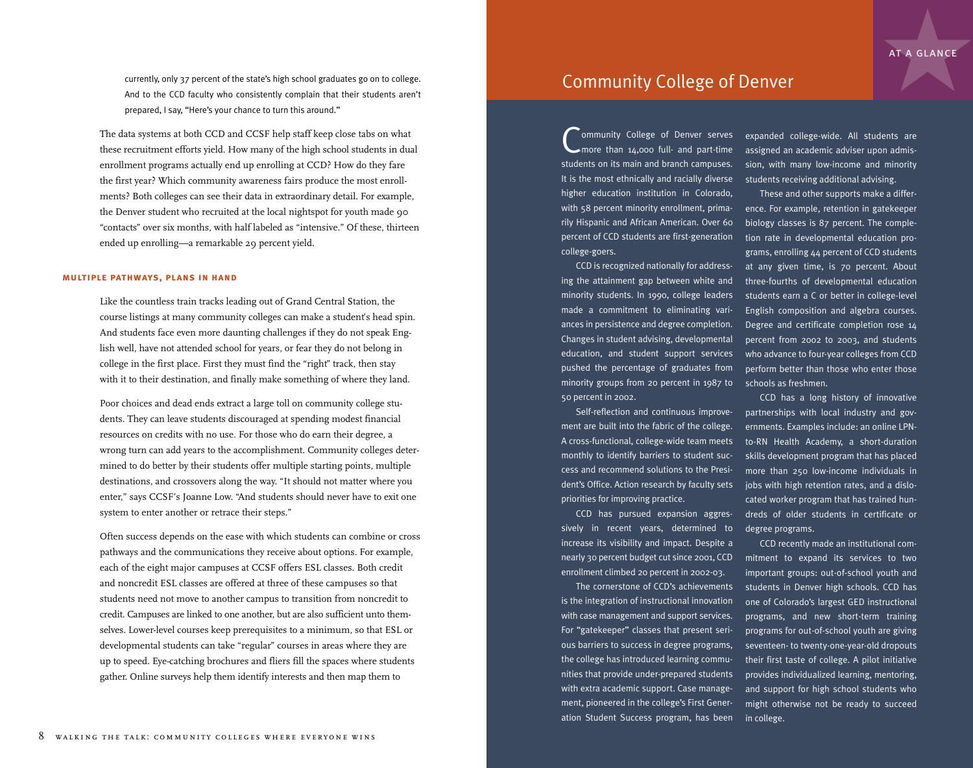currently, only 37 percent of the state's high school graduates go on to college. And to the CCD faculty who consistently complain that their students aren't prepared, I say, "Here's your chance to turn this around."

The data systems at both CCD and CCSF help staff keep close tabs on what these recruitment efforts yield. How many of the high school students in dual enrollment programs actually end up enrolling at CCD? How do they fare the first year? Which community awareness fairs produce the most enrollments? Both colleges can see their data in extraordinary detail. For example, the Denver student who recruited at the local nightspot for youth made 90 "contacts" over six months, with half labeled as "intensive." Of these, thirteen ended up enrolling—a remarkable 29 percent yield.

### **multiple pathways, plans in hand**

Like the countless train tracks leading out of Grand Central Station, the course listings at many community colleges can make a student's head spin. And students face even more daunting challenges if they do not speak English well, have not attended school for years, or fear they do not belong in college in the first place. First they must find the "right" track, then stay with it to their destination, and finally make something of where they land.

Poor choices and dead ends extract a large toll on community college students. They can leave students discouraged at spending modest financial resources on credits with no use. For those who do earn their degree, a wrong turn can add years to the accomplishment. Community colleges determined to do better by their students offer multiple starting points, multiple destinations, and crossovers along the way. "It should not matter where you enter," says CCSF's Joanne Low. "And students should never have to exit one system to enter another or retrace their steps."

Often success depends on the ease with which students can combine or cross pathways and the communications they receive about options. For example, each of the eight major campuses at CCSF offers ESL classes. Both credit and noncredit ESL classes are offered at three of these campuses so that students need not move to another campus to transition from noncredit to credit. Campuses are linked to one another, but are also sufficient unto themselves. Lower-level courses keep prerequisites to a minimum, so that ESL or developmental students can take "regular" courses in areas where they are up to speed. Eye-catching brochures and fliers fill the spaces where students gather. Online surveys help them identify interests and then map them to

### Community College of Denver

Community College of Denver serves<br>more than 14,000 full- and part-time more than 14,000 full- and part-time students on its main and branch campuses. It is the most ethnically and racially diverse higher education institution in Colorado, with 58 percent minority enrollment, primarily Hispanic and African American. Over 60 percent of CCD students are first-generation college-goers.

CCD is recognized nationally for addressing the attainment gap between white and minority students. In 1990, college leaders made a commitment to eliminating variances in persistence and degree completion. Changes in student advising, developmental education, and student support services pushed the percentage of graduates from minority groups from 20 percent in 1987 to schools as freshmen. 50 percent in 2002.

Self-reflection and continuous improvement are built into the fabric of the college. A cross-functional, college-wide team meets monthly to identify barriers to student success and recommend solutions to the President's Office. Action research by faculty sets jobs with high retention rates, and a dislopriorities for improving practice.

CCD has pursued expansion aggressively in recent years, determined to degree programs. increase its visibility and impact. Despite a nearly 30 percent budget cut since 2001, CCD mitment to expand its services to two enrollment climbed 20 percent in 2002-03.

is the integration of instructional innovation with case management and support services. For "gatekeeper" classes that present serious barriers to success in degree programs, the college has introduced learning communities that provide under-prepared students with extra academic support. Case management, pioneered in the college's First Generation Student Success program, has been

expanded college-wide. All students are assigned an academic adviser upon admission, with many low-income and minority students receiving additional advising.

These and other supports make a difference. For example, retention in gatekeeper biology classes is 87 percent. The completion rate in developmental education programs, enrolling 44 percent of CCD students at any given time, is 70 percent. About three-fourths of developmental education students earn a C or better in college-level English composition and algebra courses. Degree and certificate completion rose 14 percent from 2002 to 2003, and students who advance to four-year colleges from CCD perform better than those who enter those

CCD has a long history of innovative partnerships with local industry and governments. Examples include: an online LPNto-RN Health Academy, a short-duration skills development program that has placed more than 250 low-income individuals in cated worker program that has trained hundreds of older students in certificate or

The cornerstone of CCD's achievements students in Denver high schools. CCD has CCD recently made an institutional comimportant groups: out-of-school youth and one of Colorado's largest GED instructional programs, and new short-term training programs for out-of-school youth are giving seventeen- to twenty-one-year-old dropouts their first taste of college. A pilot initiative provides individualized learning, mentoring, and support for high school students who might otherwise not be ready to succeed in college.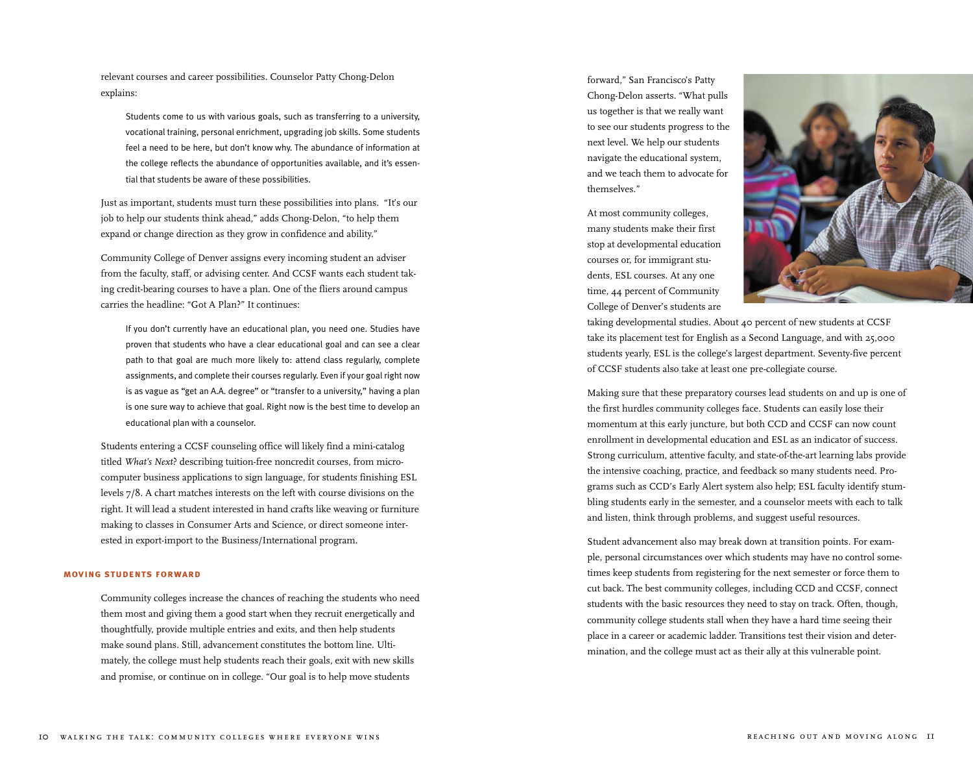relevant courses and career possibilities. Counselor Patty Chong-Delon explains:

Students come to us with various goals, such as transferring to a university, vocational training, personal enrichment, upgrading job skills. Some students feel a need to be here, but don't know why. The abundance of information at the college reflects the abundance of opportunities available, and it's essential that students be aware of these possibilities.

Just as important, students must turn these possibilities into plans. "It's our job to help our students think ahead," adds Chong-Delon, "to help them expand or change direction as they grow in confidence and ability."

Community College of Denver assigns every incoming student an adviser from the faculty, staff, or advising center. And CCSF wants each student taking credit-bearing courses to have a plan. One of the fliers around campus carries the headline: "Got A Plan?" It continues:

If you don't currently have an educational plan, you need one. Studies have proven that students who have a clear educational goal and can see a clear path to that goal are much more likely to: attend class regularly, complete assignments, and complete their courses regularly. Even if your goal right now is as vague as "get an A.A. degree" or "transfer to a university," having a plan is one sure way to achieve that goal. Right now is the best time to develop an educational plan with a counselor.

Students entering a CCSF counseling office will likely find a mini-catalog titled *What's Next*? describing tuition-free noncredit courses, from microcomputer business applications to sign language, for students finishing ESL levels 7/8. A chart matches interests on the left with course divisions on the right. It will lead a student interested in hand crafts like weaving or furniture making to classes in Consumer Arts and Science, or direct someone interested in export-import to the Business/International program.

#### **moving students forward**

Community colleges increase the chances of reaching the students who need them most and giving them a good start when they recruit energetically and thoughtfully, provide multiple entries and exits, and then help students make sound plans. Still, advancement constitutes the bottom line. Ultimately, the college must help students reach their goals, exit with new skills and promise, or continue on in college. "Our goal is to help move students

forward," San Francisco's Patty Chong-Delon asserts. "What pulls us together is that we really want to see our students progress to the next level. We help our students navigate the educational system, and we teach them to advocate for themselves."

At most community colleges, many students make their first stop at developmental education courses or, for immigrant students, ESL courses. At any one time, 44 percent of Community College of Denver's students are



taking developmental studies. About 40 percent of new students at CCSF take its placement test for English as a Second Language, and with 25,000 students yearly, ESL is the college's largest department. Seventy-five percent of CCSF students also take at least one pre-collegiate course.

Making sure that these preparatory courses lead students on and up is one of the first hurdles community colleges face. Students can easily lose their momentum at this early juncture, but both CCD and CCSF can now count enrollment in developmental education and ESL as an indicator of success. Strong curriculum, attentive faculty, and state-of-the-art learning labs provide the intensive coaching, practice, and feedback so many students need. Programs such as CCD's Early Alert system also help; ESL faculty identify stumbling students early in the semester, and a counselor meets with each to talk and listen, think through problems, and suggest useful resources.

Student advancement also may break down at transition points. For example, personal circumstances over which students may have no control sometimes keep students from registering for the next semester or force them to cut back. The best community colleges, including CCD and CCSF, connect students with the basic resources they need to stay on track. Often, though, community college students stall when they have a hard time seeing their place in a career or academic ladder. Transitions test their vision and determination, and the college must act as their ally at this vulnerable point.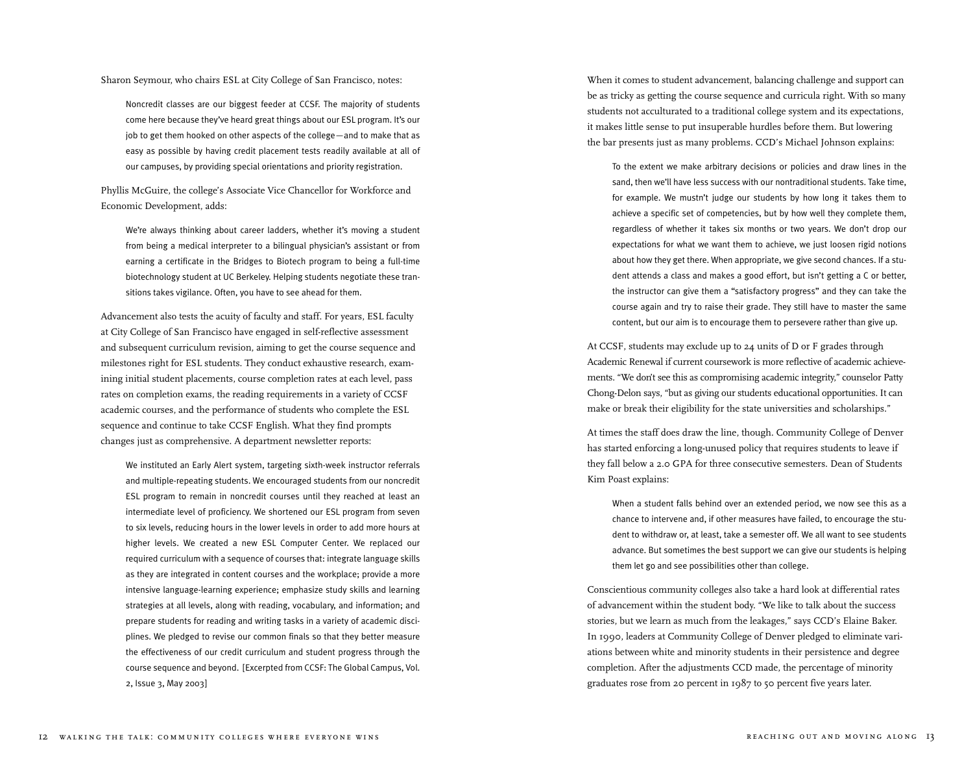Sharon Seymour, who chairs ESL at City College of San Francisco, notes:

Noncredit classes are our biggest feeder at CCSF. The majority of students come here because they've heard great things about our ESL program. It's our job to get them hooked on other aspects of the college—and to make that as easy as possible by having credit placement tests readily available at all of our campuses, by providing special orientations and priority registration.

Phyllis McGuire, the college's Associate Vice Chancellor for Workforce and Economic Development, adds:

We're always thinking about career ladders, whether it's moving a student from being a medical interpreter to a bilingual physician's assistant or from earning a certificate in the Bridges to Biotech program to being a full-time biotechnology student at UC Berkeley. Helping students negotiate these transitions takes vigilance. Often, you have to see ahead for them.

Advancement also tests the acuity of faculty and staff. For years, ESL faculty at City College of San Francisco have engaged in self-reflective assessment and subsequent curriculum revision, aiming to get the course sequence and milestones right for ESL students. They conduct exhaustive research, examining initial student placements, course completion rates at each level, pass rates on completion exams, the reading requirements in a variety of CCSF academic courses, and the performance of students who complete the ESL sequence and continue to take CCSF English. What they find prompts changes just as comprehensive. A department newsletter reports:

We instituted an Early Alert system, targeting sixth-week instructor referrals and multiple-repeating students. We encouraged students from our noncredit ESL program to remain in noncredit courses until they reached at least an intermediate level of proficiency. We shortened our ESL program from seven to six levels, reducing hours in the lower levels in order to add more hours at higher levels. We created a new ESL Computer Center. We replaced our required curriculum with a sequence of courses that: integrate language skills as they are integrated in content courses and the workplace; provide a more intensive language-learning experience; emphasize study skills and learning strategies at all levels, along with reading, vocabulary, and information; and prepare students for reading and writing tasks in a variety of academic disciplines. We pledged to revise our common finals so that they better measure the effectiveness of our credit curriculum and student progress through the course sequence and beyond. [Excerpted from CCSF: The Global Campus, Vol. 2, Issue 3, May 2003]

When it comes to student advancement, balancing challenge and support can be as tricky as getting the course sequence and curricula right. With so many students not acculturated to a traditional college system and its expectations, it makes little sense to put insuperable hurdles before them. But lowering the bar presents just as many problems. CCD's Michael Johnson explains:

To the extent we make arbitrary decisions or policies and draw lines in the sand, then we'll have less success with our nontraditional students. Take time, for example. We mustn't judge our students by how long it takes them to achieve a specific set of competencies, but by how well they complete them, regardless of whether it takes six months or two years. We don't drop our expectations for what we want them to achieve, we just loosen rigid notions about how they get there. When appropriate, we give second chances. If a student attends a class and makes a good effort, but isn't getting a C or better, the instructor can give them a "satisfactory progress" and they can take the course again and try to raise their grade. They still have to master the same content, but our aim is to encourage them to persevere rather than give up.

At CCSF, students may exclude up to 24 units of D or F grades through Academic Renewal if current coursework is more reflective of academic achievements. "We don't see this as compromising academic integrity," counselor Patty Chong-Delon says, "but as giving our students educational opportunities. It can make or break their eligibility for the state universities and scholarships."

At times the staff does draw the line, though. Community College of Denver has started enforcing a long-unused policy that requires students to leave if they fall below a 2.0 GPA for three consecutive semesters. Dean of Students Kim Poast explains:

When a student falls behind over an extended period, we now see this as a chance to intervene and, if other measures have failed, to encourage the student to withdraw or, at least, take a semester off. We all want to see students advance. But sometimes the best support we can give our students is helping them let go and see possibilities other than college.

Conscientious community colleges also take a hard look at differential rates of advancement within the student body. "We like to talk about the success stories, but we learn as much from the leakages," says CCD's Elaine Baker. In 1990, leaders at Community College of Denver pledged to eliminate variations between white and minority students in their persistence and degree completion. After the adjustments CCD made, the percentage of minority graduates rose from 20 percent in 1987 to 50 percent five years later.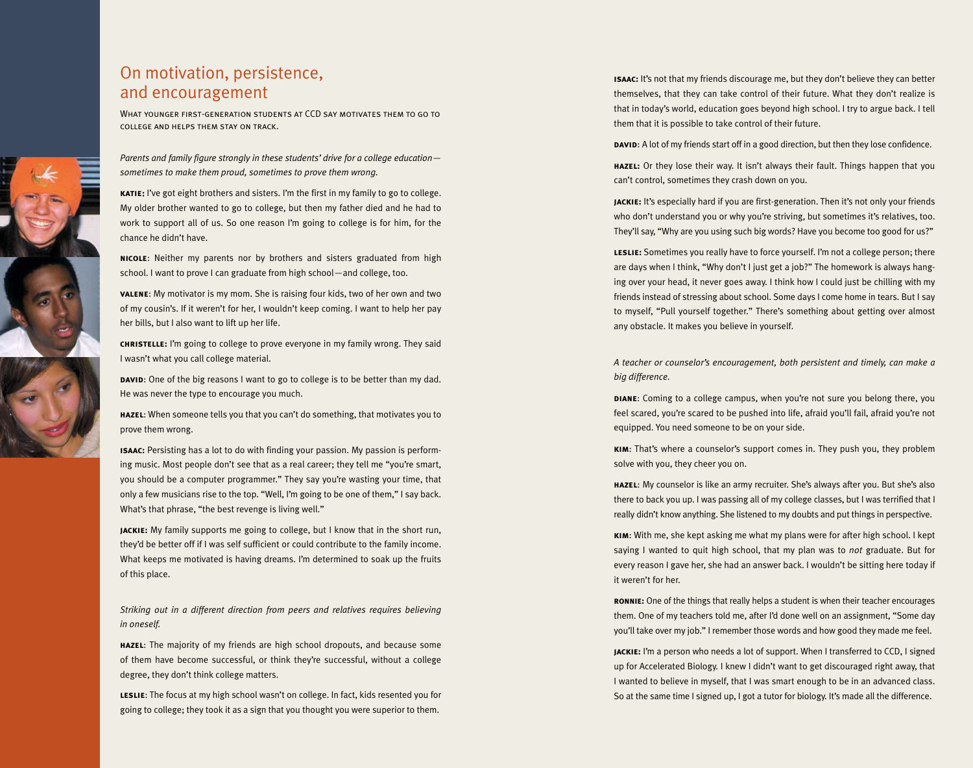### On motivation, persistence, and encouragement

What younger first-generation students at CCD say motivates them to go tocollege and helps them stay on track.

*Parents and family figure strongly in these students' drive for a college education sometimes to make them proud, sometimes to prove them wrong.*

**katie**: I've got eight brothers and sisters. I'm the first in my family to go to college. My older brother wanted to go to college, but then my father died and he had to work to support all of us. So one reason I'm going to college is for him, for the chance he didn't have.

**nicole**: Neither my parents nor by brothers and sisters graduated from high school. I want to prove I can graduate from high school—and college, too.

**valene**: My motivator is my mom. She is raising four kids, two of her own and two of my cousin's. If it weren't for her, I wouldn't keep coming. I want to help her pay her bills, but I also want to lift up her life.

**christelle:** I'm going to college to prove everyone in my family wrong. They said I wasn't what you call college material.

**DAVID:** One of the big reasons I want to go to college is to be better than my dad. He was never the type to encourage you much.

**hazel**: When someone tells you that you can't do something, that motivates you to prove them wrong.

**isaac:** Persisting has a lot to do with finding your passion. My passion is performing music. Most people don't see that as a real career; they tell me "you're smart, you should be a computer programmer." They say you're wasting your time, that only a few musicians rise to the top. "Well, I'm going to be one of them," I say back. What's that phrase, "the best revenge is living well."

**jackie:** My family supports me going to college, but I know that in the short run, they'd be better off if I was self sufficient or could contribute to the family income. What keeps me motivated is having dreams. I'm determined to soak up the fruits of this place.

*Striking out in a different direction from peers and relatives requires believing in oneself.*

**hazel**: The majority of my friends are high school dropouts, and because some of them have become successful, or think they're successful, without a college degree, they don't think college matters.

**leslie**: The focus at my high school wasn't on college. In fact, kids resented you for going to college; they took it as a sign that you thought you were superior to them.

**isaac:** It's not that my friends discourage me, but they don't believe they can better themselves, that they can take control of their future. What they don't realize is that in today's world, education goes beyond high school. I try to argue back. I tell them that it is possible to take control of their future.

**DAVID:** A lot of my friends start off in a good direction, but then they lose confidence.

**hazel:** Or they lose their way. It isn't always their fault. Things happen that you can't control, sometimes they crash down on you.

**jackie:** It's especially hard if you are first-generation. Then it's not only your friends who don't understand you or why you're striving, but sometimes it's relatives, too. They'll say, "Why are you using such big words? Have you become too good for us?"

**leslie:** Sometimes you really have to force yourself. I'm not a college person; there are days when I think, "Why don't I just get a job?" The homework is always hanging over your head, it never goes away. I think how I could just be chilling with my friends instead of stressing about school. Some days I come home in tears. But I say to myself, "Pull yourself together." There's something about getting over almost any obstacle. It makes you believe in yourself.

*A teacher or counselor's encouragement, both persistent and timely, can make a big difference.*

**DIANE:** Coming to a college campus, when you're not sure you belong there, you feel scared, you're scared to be pushed into life, afraid you'll fail, afraid you're not equipped. You need someone to be on your side.

**kim**: That's where a counselor's support comes in. They push you, they problem solve with you, they cheer you on.

**hazel**: My counselor is like an army recruiter. She's always after you. But she's also there to back you up. I was passing all of my college classes, but I was terrified that I really didn't know anything. She listened to my doubts and put things in perspective.

**kim**: With me, she kept asking me what my plans were for after high school. I kept saying I wanted to quit high school, that my plan was to *not* graduate. But for every reason I gave her, she had an answer back. I wouldn't be sitting here today if it weren't for her.

**ronnie:** One of the things that really helps a student is when their teacher encourages them. One of my teachers told me, after I'd done well on an assignment, "Some day you'll take over my job." I remember those words and how good they made me feel.

**jackie:** I'm a person who needs a lot of support. When I transferred to CCD, I signed up for Accelerated Biology. I knew I didn't want to get discouraged right away, that I wanted to believe in myself, that I was smart enough to be in an advanced class. So at the same time I signed up, I got a tutor for biology. It's made all the difference.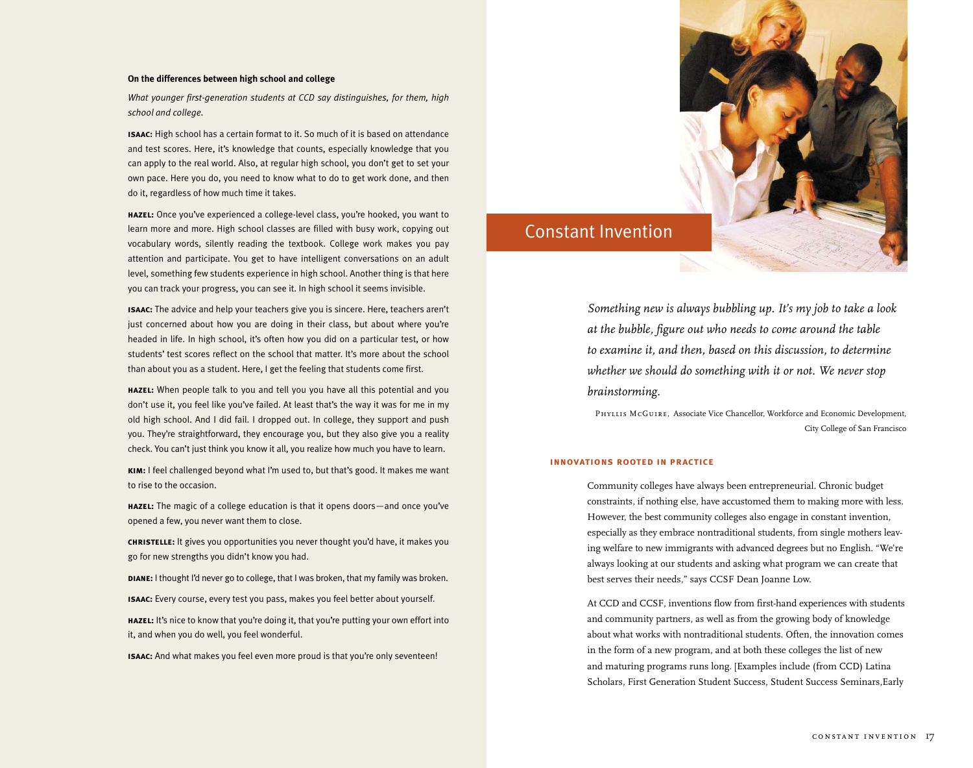#### **On the differences between high school and college**

*What younger first-generation students at CCD say distinguishes, for them, high school and college.*

**isaac:** High school has a certain format to it. So much of it is based on attendance and test scores. Here, it's knowledge that counts, especially knowledge that you can apply to the real world. Also, at regular high school, you don't get to set your own pace. Here you do, you need to know what to do to get work done, and then do it, regardless of how much time it takes.

**hazel:** Once you've experienced a college-level class, you're hooked, you want to learn more and more. High school classes are filled with busy work, copying out vocabulary words, silently reading the textbook. College work makes you pay attention and participate. You get to have intelligent conversations on an adult level, something few students experience in high school. Another thing is that here you can track your progress, you can see it. In high school it seems invisible.

**isaac:** The advice and help your teachers give you is sincere. Here, teachers aren't just concerned about how you are doing in their class, but about where you're headed in life. In high school, it's often how you did on a particular test, or how students' test scores reflect on the school that matter. It's more about the school than about you as a student. Here, I get the feeling that students come first.

**hazel:** When people talk to you and tell you you have all this potential and you don't use it, you feel like you've failed. At least that's the way it was for me in my old high school. And I did fail. I dropped out. In college, they support and push you. They're straightforward, they encourage you, but they also give you a reality check. You can't just think you know it all, you realize how much you have to learn.

**kim:** I feel challenged beyond what I'm used to, but that's good. It makes me want to rise to the occasion.

**hazel:** The magic of a college education is that it opens doors—and once you've opened a few, you never want them to close.

**christelle:** It gives you opportunities you never thought you'd have, it makes you go for new strengths you didn't know you had.

**diane:** I thought I'd never go to college, that I was broken, that my family was broken.

**isaac:** Every course, every test you pass, makes you feel better about yourself.

**hazel:** It's nice to know that you're doing it, that you're putting your own effort into it, and when you do well, you feel wonderful.

**isaac:** And what makes you feel even more proud is that you're only seventeen!



## Constant Invention

*Something new is always bubbling up. It's my job to take a look at the bubble, figure out who needs to come around the table to examine it, and then, based on this discussion, to determine whether we should do something with it or not. We never stop brainstorming.* 

*Phyllis McGuire,* Associate Vice Chancellor, Workforce and Economic Development, City College of San Francisco

#### **innovations rooted in practice**

Community colleges have always been entrepreneurial. Chronic budget constraints, if nothing else, have accustomed them to making more with less. However, the best community colleges also engage in constant invention, especially as they embrace nontraditional students, from single mothers leaving welfare to new immigrants with advanced degrees but no English. "We're always looking at our students and asking what program we can create that best serves their needs," says CCSF Dean Joanne Low.

At CCD and CCSF, inventions flow from first-hand experiences with students and community partners, as well as from the growing body of knowledge about what works with nontraditional students. Often, the innovation comes in the form of a new program, and at both these colleges the list of new and maturing programs runs long. [Examples include (from CCD) Latina Scholars, First Generation Student Success, Student Success Seminars,Early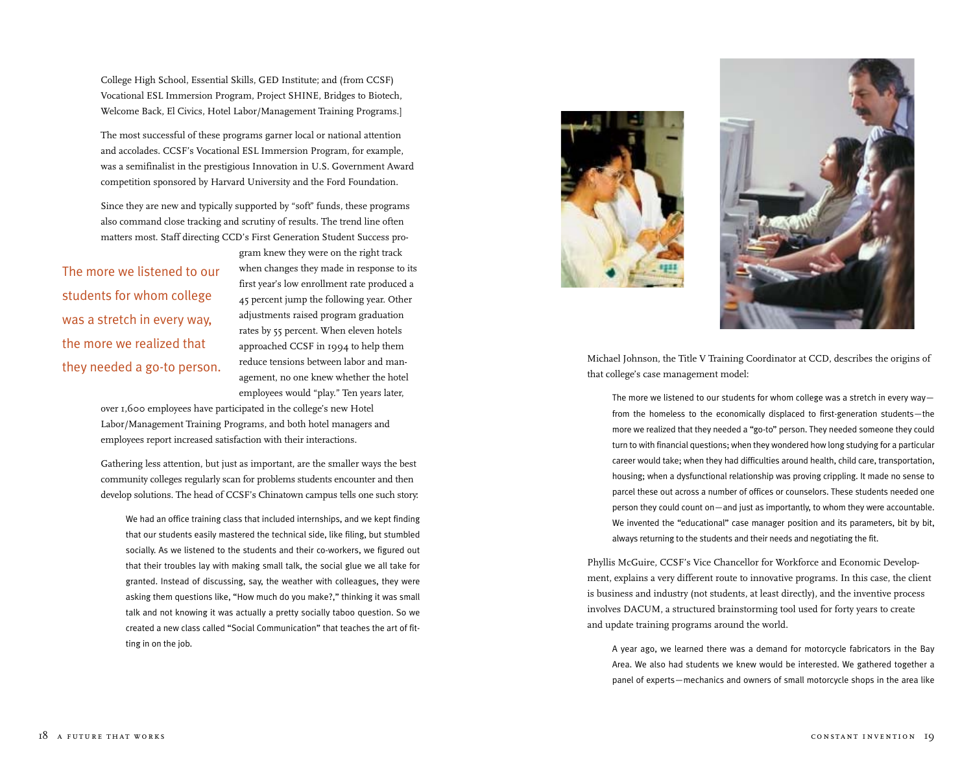College High School, Essential Skills, GED Institute; and (from CCSF) Vocational ESL Immersion Program, Project SHINE, Bridges to Biotech, Welcome Back, El Civics, Hotel Labor/Management Training Programs.]

The most successful of these programs garner local or national attention and accolades. CCSF's Vocational ESL Immersion Program, for example, was a semifinalist in the prestigious Innovation in U.S. Government Award competition sponsored by Harvard University and the Ford Foundation.

Since they are new and typically supported by "soft" funds, these programs also command close tracking and scrutiny of results. The trend line often matters most. Staff directing CCD's First Generation Student Success pro-

The more we listened to our students for whom college was a stretch in every way, the more we realized that they needed a go-to person.

gram knew they were on the right track when changes they made in response to its first year's low enrollment rate produced a 45 percent jump the following year. Other adjustments raised program graduation rates by 55 percent. When eleven hotels approached CCSF in 1994 to help them reduce tensions between labor and management, no one knew whether the hotel employees would "play." Ten years later,

over 1,600 employees have participated in the college's new Hotel Labor/Management Training Programs, and both hotel managers and employees report increased satisfaction with their interactions.

Gathering less attention, but just as important, are the smaller ways the best community colleges regularly scan for problems students encounter and then develop solutions. The head of CCSF's Chinatown campus tells one such story:

We had an office training class that included internships, and we kept finding that our students easily mastered the technical side, like filing, but stumbled socially. As we listened to the students and their co-workers, we figured out that their troubles lay with making small talk, the social glue we all take for granted. Instead of discussing, say, the weather with colleagues, they were asking them questions like, "How much do you make?," thinking it was small talk and not knowing it was actually a pretty socially taboo question. So we created a new class called "Social Communication" that teaches the art of fitting in on the job.





Michael Johnson, the Title V Training Coordinator at CCD, describes the origins of that college's case management model:

The more we listened to our students for whom college was a stretch in every way from the homeless to the economically displaced to first-generation students—the more we realized that they needed a "go-to" person. They needed someone they could turn to with financial questions; when they wondered how long studying for a particular career would take; when they had difficulties around health, child care, transportation, housing; when a dysfunctional relationship was proving crippling. It made no sense to parcel these out across a number of offices or counselors. These students needed one person they could count on—and just as importantly, to whom they were accountable. We invented the "educational" case manager position and its parameters, bit by bit, always returning to the students and their needs and negotiating the fit.

Phyllis McGuire, CCSF's Vice Chancellor for Workforce and Economic Development, explains a very different route to innovative programs. In this case, the client is business and industry (not students, at least directly), and the inventive process involves DACUM, a structured brainstorming tool used for forty years to create and update training programs around the world.

A year ago, we learned there was a demand for motorcycle fabricators in the Bay Area. We also had students we knew would be interested. We gathered together a panel of experts—mechanics and owners of small motorcycle shops in the area like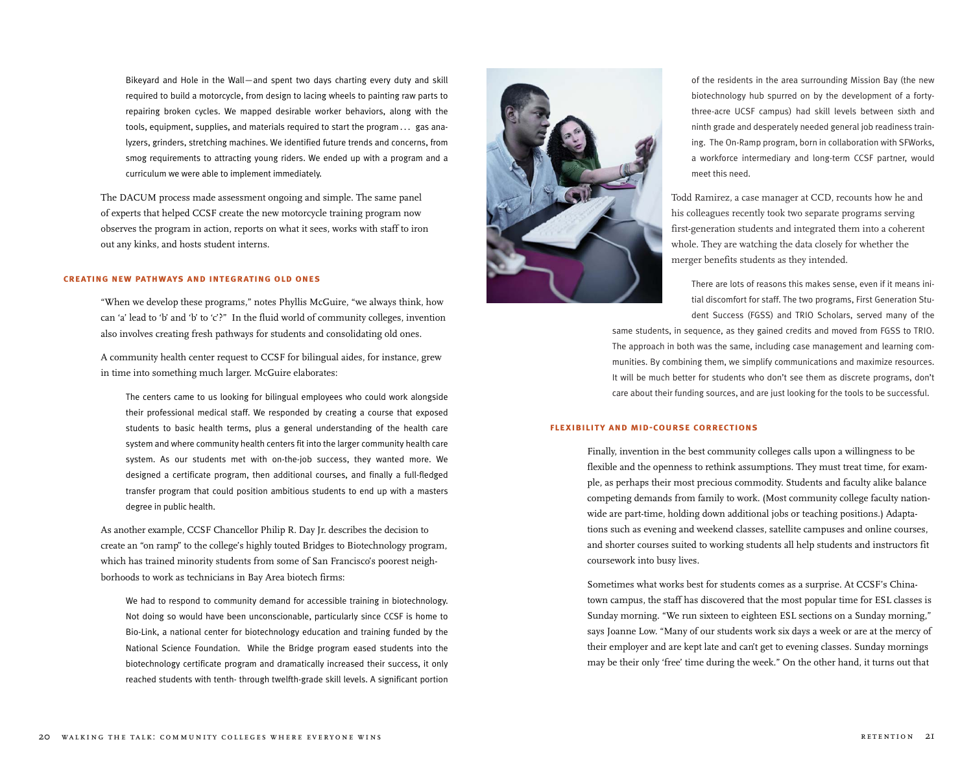Bikeyard and Hole in the Wall—and spent two days charting every duty and skill required to build a motorcycle, from design to lacing wheels to painting raw parts to repairing broken cycles. We mapped desirable worker behaviors, along with the tools, equipment, supplies, and materials required to start the program... gas analyzers, grinders, stretching machines. We identified future trends and concerns, from smog requirements to attracting young riders. We ended up with a program and a curriculum we were able to implement immediately.

The DACUM process made assessment ongoing and simple. The same panel of experts that helped CCSF create the new motorcycle training program now observes the program in action, reports on what it sees, works with staff to iron out any kinks, and hosts student interns.

#### **creating new pathways and integrating old ones**

"When we develop these programs," notes Phyllis McGuire, "we always think, how can 'a' lead to 'b' and 'b' to 'c'?" In the fluid world of community colleges, invention also involves creating fresh pathways for students and consolidating old ones.

A community health center request to CCSF for bilingual aides, for instance, grew in time into something much larger. McGuire elaborates:

The centers came to us looking for bilingual employees who could work alongside their professional medical staff. We responded by creating a course that exposed students to basic health terms, plus a general understanding of the health care system and where community health centers fit into the larger community health care system. As our students met with on-the-job success, they wanted more. We designed a certificate program, then additional courses, and finally a full-fledged transfer program that could position ambitious students to end up with a masters degree in public health.

As another example, CCSF Chancellor Philip R. Day Jr. describes the decision to create an "on ramp" to the college's highly touted Bridges to Biotechnology program, which has trained minority students from some of San Francisco's poorest neighborhoods to work as technicians in Bay Area biotech firms:

We had to respond to community demand for accessible training in biotechnology. Not doing so would have been unconscionable, particularly since CCSF is home to Bio-Link, a national center for biotechnology education and training funded by the National Science Foundation. While the Bridge program eased students into the biotechnology certificate program and dramatically increased their success, it only reached students with tenth- through twelfth-grade skill levels. A significant portion



of the residents in the area surrounding Mission Bay (the new biotechnology hub spurred on by the development of a fortythree-acre UCSF campus) had skill levels between sixth and ninth grade and desperately needed general job readiness training. The On-Ramp program, born in collaboration with SFWorks, a workforce intermediary and long-term CCSF partner, would meet this need.

Todd Ramirez, a case manager at CCD, recounts how he and his colleagues recently took two separate programs serving first-generation students and integrated them into a coherent whole. They are watching the data closely for whether the merger benefits students as they intended.

There are lots of reasons this makes sense, even if it means initial discomfort for staff. The two programs, First Generation Student Success (FGSS) and TRIO Scholars, served many of the

same students, in sequence, as they gained credits and moved from FGSS to TRIO. The approach in both was the same, including case management and learning communities. By combining them, we simplify communications and maximize resources. It will be much better for students who don't see them as discrete programs, don't care about their funding sources, and are just looking for the tools to be successful.

### **flexibility and mid-course corrections**

Finally, invention in the best community colleges calls upon a willingness to be flexible and the openness to rethink assumptions. They must treat time, for example, as perhaps their most precious commodity. Students and faculty alike balance competing demands from family to work. (Most community college faculty nationwide are part-time, holding down additional jobs or teaching positions.) Adaptations such as evening and weekend classes, satellite campuses and online courses, and shorter courses suited to working students all help students and instructors fit coursework into busy lives.

Sometimes what works best for students comes as a surprise. At CCSF's Chinatown campus, the staff has discovered that the most popular time for ESL classes is Sunday morning. "We run sixteen to eighteen ESL sections on a Sunday morning," says Joanne Low. "Many of our students work six days a week or are at the mercy of their employer and are kept late and can't get to evening classes. Sunday mornings may be their only 'free' time during the week." On the other hand, it turns out that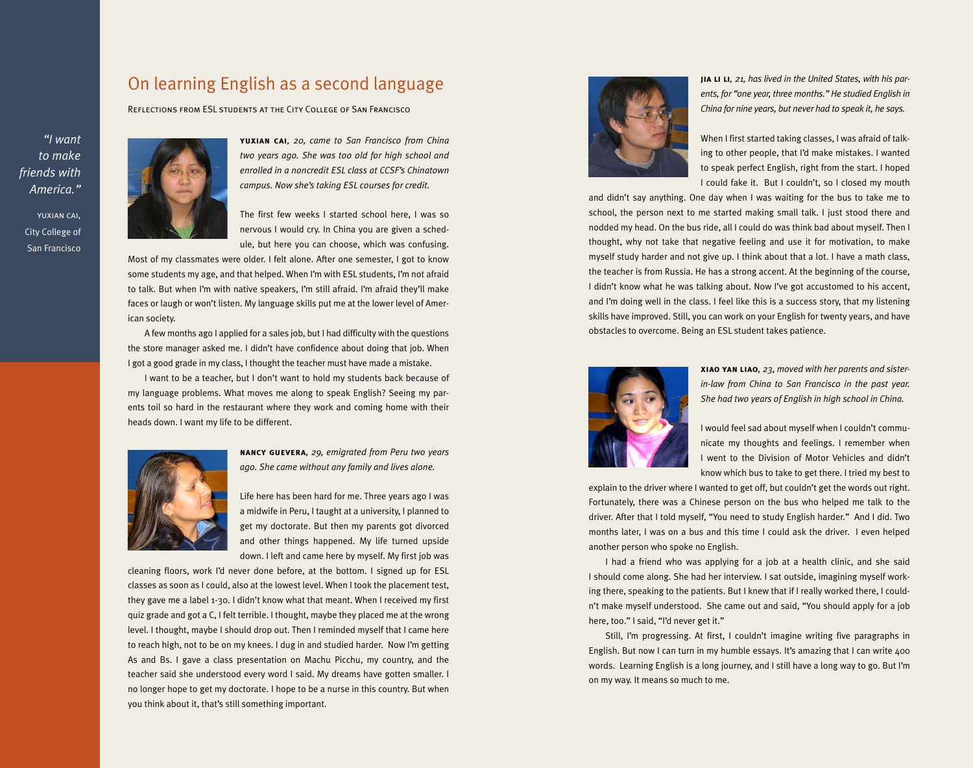### On learning English as a second language

Reflections from ESL students at the City College of San Francisco

*"I want to make friends with America."*





**yuxian cai***, 20, came to San Francisco from China two years ago. She was too old for high school and enrolled in a noncredit ESL class at CCSF's Chinatown campus. Now she's taking ESL courses for credit.*

The first few weeks I started school here, I was so nervous I would cry. In China you are given a schedule, but here you can choose, which was confusing.

Most of my classmates were older. I felt alone. After one semester, I got to know some students my age, and that helped. When I'm with ESL students, I'm not afraid to talk. But when I'm with native speakers, I'm still afraid. I'm afraid they'll make faces or laugh or won't listen. My language skills put me at the lower level of American society.

A few months ago I applied for a sales job, but I had difficulty with the questions the store manager asked me. I didn't have confidence about doing that job. When I got a good grade in my class, I thought the teacher must have made a mistake.

I want to be a teacher, but I don't want to hold my students back because of my language problems. What moves me along to speak English? Seeing my parents toil so hard in the restaurant where they work and coming home with their heads down. I want my life to be different.



**nancy guevera***, 29, emigrated from Peru two years ago. She came without any family and lives alone.*

Life here has been hard for me. Three years ago I was a midwife in Peru, I taught at a university, I planned to get my doctorate. But then my parents got divorced and other things happened. My life turned upside down. I left and came here by myself. My first job was

cleaning floors, work I'd never done before, at the bottom. I signed up for ESL classes as soon as I could, also at the lowest level. When I took the placement test, they gave me a label 1-30. I didn't know what that meant. When I received my first quiz grade and got a C, I felt terrible. I thought, maybe they placed me at the wrong level. I thought, maybe I should drop out. Then I reminded myself that I came here to reach high, not to be on my knees. I dug in and studied harder. Now I'm getting As and Bs. I gave a class presentation on Machu Picchu, my country, and the teacher said she understood every word I said. My dreams have gotten smaller. I no longer hope to get my doctorate. I hope to be a nurse in this country. But when you think about it, that's still something important.



**jia li li** *, 21, has lived in the United States, with his parents, for "one year, three months." He studied English in China for nine years, but never had to speak it, he says.*

When I first started taking classes, I was afraid of talking to other people, that I'd make mistakes. I wanted to speak perfect English, right from the start. I hoped I could fake it. But I couldn't, so I closed my mouth

and didn't say anything. One day when I was waiting for the bus to take me to school, the person next to me started making small talk. I just stood there and nodded my head. On the bus ride, all I could do was think bad about myself. Then I thought, why not take that negative feeling and use it for motivation, to make myself study harder and not give up. I think about that a lot. I have a math class, the teacher is from Russia. He has a strong accent. At the beginning of the course, I didn't know what he was talking about. Now I've got accustomed to his accent, and I'm doing well in the class. I feel like this is a success story, that my listening skills have improved. Still, you can work on your English for twenty years, and have obstacles to overcome. Being an ESL student takes patience.



**xiao yan liao***, 23, moved with her parents and sisterin-law from China to San Francisco in the past year. She had two years of English in high school in China.*

I would feel sad about myself when I couldn't communicate my thoughts and feelings. I remember when I went to the Division of Motor Vehicles and didn't know which bus to take to get there. I tried my best to

explain to the driver where I wanted to get off, but couldn't get the words out right. Fo rtunately, there was a Chinese person on the bus who helped me talk to the driver. After that I told myself, "You need to study English harder." And I did. Two months later, I was on a bus and this time I could ask the driver. I even helped another person who spoke no English.

I had a friend who was applying for a job at a health clinic, and she said I should come along. She had her interview. I sat outside, imagining myself working there, speaking to the patients. But I knew that if I really worked there, I could n't make myself understood. She came out and said, "You should apply for a job here, too." I said, "I'd never get it." <br>Still, I'm progressing. At first, I couldn't imagine writing five paragraphs in

English. But now I can turn in my humble essays. It's amazing that I can write 400 words. Learning English is a long journey, and I still have a long way to go. But I'm on my way. It means so much to me.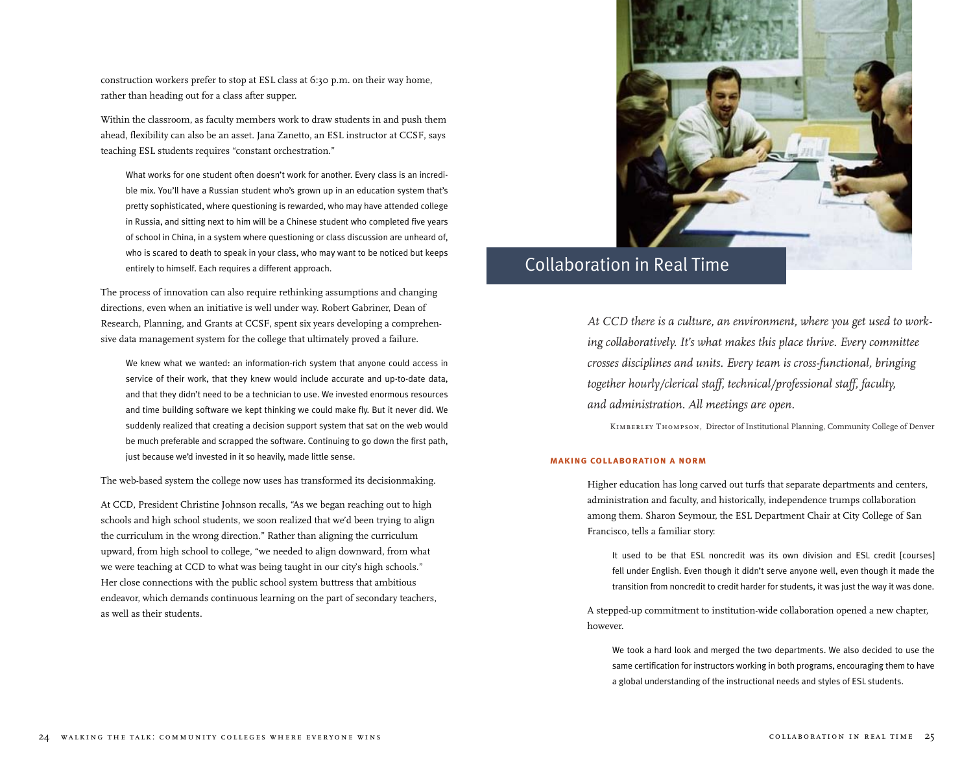construction workers prefer to stop at ESL class at 6:30 p.m. on their way home, rather than heading out for a class after supper.

Within the classroom, as faculty members work to draw students in and push them ahead, flexibility can also be an asset. Jana Zanetto, an ESL instructor at CCSF, says teaching ESL students requires "constant orchestration."

What works for one student often doesn't work for another. Every class is an incredible mix. You'll have a Russian student who's grown up in an education system that's pretty sophisticated, where questioning is rewarded, who may have attended college in Russia, and sitting next to him will be a Chinese student who completed five years of school in China, in a system where questioning or class discussion are unheard of, who is scared to death to speak in your class, who may want to be noticed but keeps entirely to himself. Each requires a different approach.

The process of innovation can also require rethinking assumptions and changing directions, even when an initiative is well under way. Robert Gabriner, Dean of Research, Planning, and Grants at CCSF, spent six years developing a comprehensive data management system for the college that ultimately proved a failure.

We knew what we wanted: an information-rich system that anyone could access in service of their work, that they knew would include accurate and up-to-date data, and that they didn't need to be a technician to use. We invested enormous resources and time building software we kept thinking we could make fly. But it never did. We suddenly realized that creating a decision support system that sat on the web would be much preferable and scrapped the software. Continuing to go down the first path, just because we'd invested in it so heavily, made little sense.

The web-based system the college now uses has transformed its decisionmaking.

At CCD, President Christine Johnson recalls, "As we began reaching out to high schools and high school students, we soon realized that we'd been trying to align the curriculum in the wrong direction." Rather than aligning the curriculum upward, from high school to college, "we needed to align downward, from what we were teaching at CCD to what was being taught in our city's high schools." Her close connections with the public school system buttress that ambitious endeavor, which demands continuous learning on the part of secondary teachers, as well as their students.



# Collaboration in Real Time

*At CCD there is a culture, an environment, where you get used to working collaboratively. It's what makes this place thrive. Every committee crosses disciplines and units. Every team is cross-functional, bringing together hourly/clerical staff, technical/professional staff, faculty, and administration. All meetings are open.*

*Kimberley Thompson,* Director of Institutional Planning, Community College of Denver

### **making collaboration a norm**

Higher education has long carved out turfs that separate departments and centers, administration and faculty, and historically, independence trumps collaboration among them. Sharon Seymour, the ESL Department Chair at City College of San Francisco, tells a familiar story:

It used to be that ESL noncredit was its own division and ESL credit [courses] fell under English. Even though it didn't serve anyone well, even though it made the transition from noncredit to credit harder for students, it was just the way it was done.

A stepped-up commitment to institution-wide collaboration opened a new chapter, however.

We took a hard look and merged the two departments. We also decided to use the same certification for instructors working in both programs, encouraging them to have a global understanding of the instructional needs and styles of ESL students.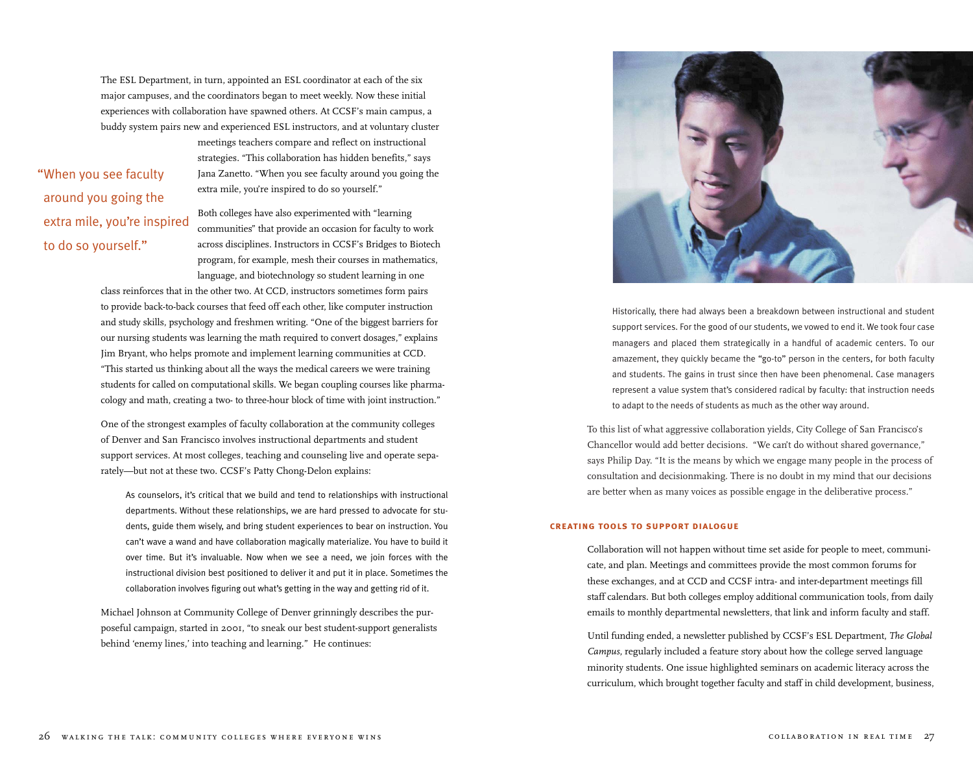The ESL Department, in turn, appointed an ESL coordinator at each of the six major campuses, and the coordinators began to meet weekly. Now these initial experiences with collaboration have spawned others. At CCSF's main campus, a buddy system pairs new and experienced ESL instructors, and at voluntary cluster

"When you see faculty around you going the extra mile, you're inspired to do so yourself."

meetings teachers compare and reflect on instructional strategies. "This collaboration has hidden benefits," says Jana Zanetto. "When you see faculty around you going the extra mile, you're inspired to do so yourself."

Both colleges have also experimented with "learning communities" that provide an occasion for faculty to work across disciplines. Instructors in CCSF's Bridges to Biotech program, for example, mesh their courses in mathematics, language, and biotechnology so student learning in one

class reinforces that in the other two. At CCD, instructors sometimes form pairs to provide back-to-back courses that feed off each other, like computer instruction and study skills, psychology and freshmen writing. "One of the biggest barriers for our nursing students was learning the math required to convert dosages," explains Jim Bryant, who helps promote and implement learning communities at CCD. "This started us thinking about all the ways the medical careers we were training students for called on computational skills. We began coupling courses like pharmacology and math, creating a two- to three-hour block of time with joint instruction."

One of the strongest examples of faculty collaboration at the community colleges of Denver and San Francisco involves instructional departments and student support services. At most colleges, teaching and counseling live and operate separately—but not at these two. CCSF's Patty Chong-Delon explains:

As counselors, it's critical that we build and tend to relationships with instructional departments. Without these relationships, we are hard pressed to advocate for students, guide them wisely, and bring student experiences to bear on instruction. You can't wave a wand and have collaboration magically materialize. You have to build it over time. But it's invaluable. Now when we see a need, we join forces with the instructional division best positioned to deliver it and put it in place. Sometimes the collaboration involves figuring out what's getting in the way and getting rid of it.

Michael Johnson at Community College of Denver grinningly describes the purposeful campaign, started in 2001, "to sneak our best student-support generalists behind 'enemy lines,' into teaching and learning." He continues:



Historically, there had always been a breakdown between instructional and student support services. For the good of our students, we vowed to end it. We took four case managers and placed them strategically in a handful of academic centers. To our amazement, they quickly became the "go-to" person in the centers, for both faculty and students. The gains in trust since then have been phenomenal. Case managers represent a value system that's considered radical by faculty: that instruction needs to adapt to the needs of students as much as the other way around.

To this list of what aggressive collaboration yields, City College of San Francisco's Chancellor would add better decisions. "We can't do without shared governance," says Philip Day. "It is the means by which we engage many people in the process of consultation and decisionmaking. There is no doubt in my mind that our decisions are better when as many voices as possible engage in the deliberative process."

#### **creating tools to support dialogue**

Collaboration will not happen without time set aside for people to meet, communicate, and plan. Meetings and committees provide the most common forums for these exchanges, and at CCD and CCSF intra- and inter-department meetings fill staff calendars. But both colleges employ additional communication tools, from daily emails to monthly departmental newsletters, that link and inform faculty and staff.

Until funding ended, a newsletter published by CCSF's ESL Department, *The Global Campus*, regularly included a feature story about how the college served language minority students. One issue highlighted seminars on academic literacy across the curriculum, which brought together faculty and staff in child development, business,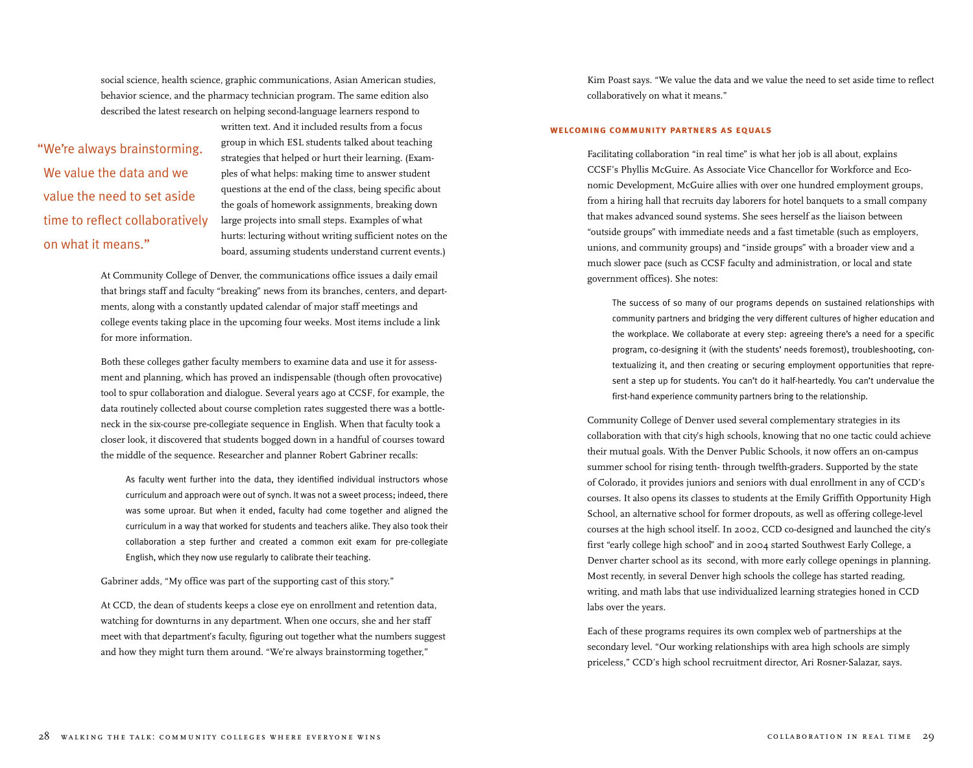social science, health science, graphic communications, Asian American studies, behavior science, and the pharmacy technician program. The same edition also described the latest research on helping second-language learners respond to

"We're always brainstorming. We value the data and we value the need to set aside time to reflect collaboratively on what it means."

written text. And it included results from a focus group in which ESL students talked about teaching strategies that helped or hurt their learning. (Examples of what helps: making time to answer student questions at the end of the class, being specific about the goals of homework assignments, breaking down large projects into small steps. Examples of what hurts: lecturing without writing sufficient notes on the board, assuming students understand current events.)

At Community College of Denver, the communications office issues a daily email that brings staff and faculty "breaking" news from its branches, centers, and departments, along with a constantly updated calendar of major staff meetings and college events taking place in the upcoming four weeks. Most items include a link for more information.

Both these colleges gather faculty members to examine data and use it for assessment and planning, which has proved an indispensable (though often provocative) tool to spur collaboration and dialogue. Several years ago at CCSF, for example, the data routinely collected about course completion rates suggested there was a bottleneck in the six-course pre-collegiate sequence in English. When that faculty took a closer look, it discovered that students bogged down in a handful of courses toward the middle of the sequence. Researcher and planner Robert Gabriner recalls:

As faculty went further into the data, they identified individual instructors whose curriculum and approach were out of synch. It was not a sweet process; indeed, there was some uproar. But when it ended, faculty had come together and aligned the curriculum in a way that worked for students and teachers alike. They also took their collaboration a step further and created a common exit exam for pre-collegiate English, which they now use regularly to calibrate their teaching.

Gabriner adds, "My office was part of the supporting cast of this story."

At CCD, the dean of students keeps a close eye on enrollment and retention data, watching for downturns in any department. When one occurs, she and her staff meet with that department's faculty, figuring out together what the numbers suggest and how they might turn them around. "We're always brainstorming together,"

Kim Poast says. "We value the data and we value the need to set aside time to reflect collaboratively on what it means."

### **welcoming community partners as equals**

Facilitating collaboration "in real time" is what her job is all about, explains CCSF's Phyllis McGuire. As Associate Vice Chancellor for Workforce and Economic Development, McGuire allies with over one hundred employment groups, from a hiring hall that recruits day laborers for hotel banquets to a small company that makes advanced sound systems. She sees herself as the liaison between "outside groups" with immediate needs and a fast timetable (such as employers, unions, and community groups) and "inside groups" with a broader view and a much slower pace (such as CCSF faculty and administration, or local and state government offices). She notes:

The success of so many of our programs depends on sustained relationships with community partners and bridging the very different cultures of higher education and the workplace. We collaborate at every step: agreeing there's a need for a specific program, co-designing it (with the students' needs foremost), troubleshooting, contextualizing it, and then creating or securing employment opportunities that represent a step up for students. You can't do it half-heartedly. You can't undervalue the first-hand experience community partners bring to the relationship.

Community College of Denver used several complementary strategies in its collaboration with that city's high schools, knowing that no one tactic could achieve their mutual goals. With the Denver Public Schools, it now offers an on-campus summer school for rising tenth- through twelfth-graders. Supported by the state of Colorado, it provides juniors and seniors with dual enrollment in any of CCD's courses. It also opens its classes to students at the Emily Griffith Opportunity High School, an alternative school for former dropouts, as well as offering college-level courses at the high school itself. In 2002, CCD co-designed and launched the city's first "early college high school" and in 2004 started Southwest Early College, a Denver charter school as its second, with more early college openings in planning. Most recently, in several Denver high schools the college has started reading, writing, and math labs that use individualized learning strategies honed in CCD labs over the years.

Each of these programs requires its own complex web of partnerships at the secondary level. "Our working relationships with area high schools are simply priceless," CCD's high school recruitment director, Ari Rosner-Salazar, says.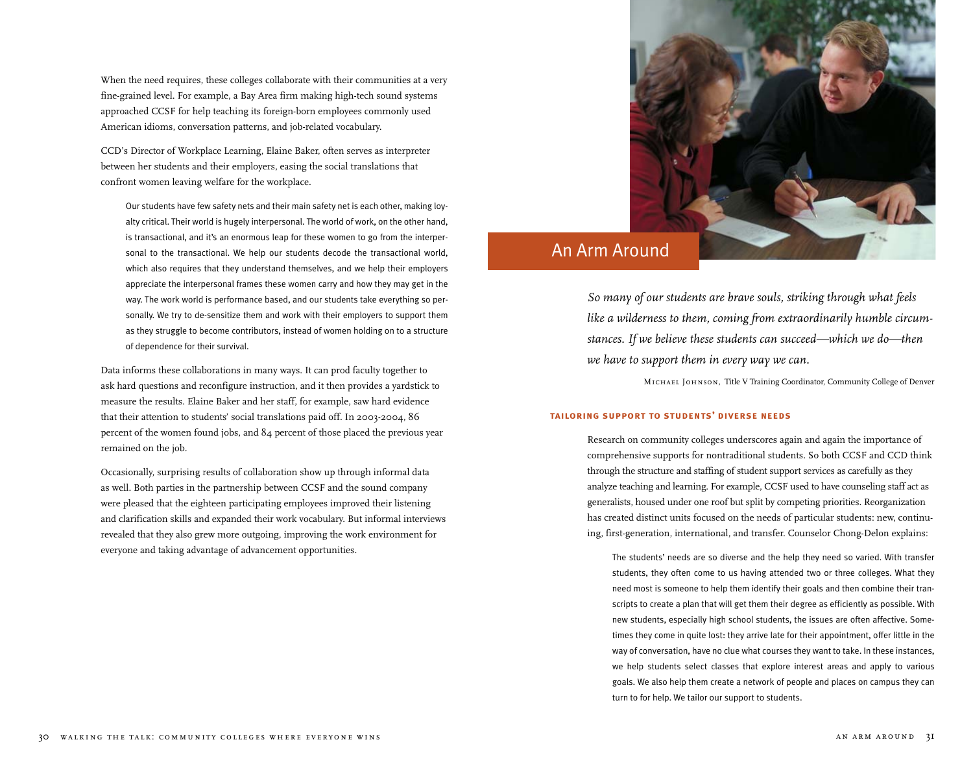When the need requires, these colleges collaborate with their communities at a very fine-grained level. For example, a Bay Area firm making high-tech sound systems approached CCSF for help teaching its foreign-born employees commonly used American idioms, conversation patterns, and job-related vocabulary.

CCD's Director of Workplace Learning, Elaine Baker, often serves as interpreter between her students and their employers, easing the social translations that confront women leaving welfare for the workplace.

Our students have few safety nets and their main safety net is each other, making loyalty critical. Their world is hugely interpersonal. The world of work, on the other hand, is transactional, and it's an enormous leap for these women to go from the interpersonal to the transactional. We help our students decode the transactional world, which also requires that they understand themselves, and we help their employers appreciate the interpersonal frames these women carry and how they may get in the way. The work world is performance based, and our students take everything so personally. We try to de-sensitize them and work with their employers to support them as they struggle to become contributors, instead of women holding on to a structure of dependence for their survival.

Data informs these collaborations in many ways. It can prod faculty together to ask hard questions and reconfigure instruction, and it then provides a yardstick to measure the results. Elaine Baker and her staff, for example, saw hard evidence that their attention to students' social translations paid off. In 2003-2004, 86 percent of the women found jobs, and 84 percent of those placed the previous year remained on the job.

Occasionally, surprising results of collaboration show up through informal data as well. Both parties in the partnership between CCSF and the sound company were pleased that the eighteen participating employees improved their listening and clarification skills and expanded their work vocabulary. But informal interviews revealed that they also grew more outgoing, improving the work environment for everyone and taking advantage of advancement opportunities.



# An Arm Around

*So many of our students are brave souls, striking through what feels like a wilderness to them, coming from extraordinarily humble circumstances. If we believe these students can succeed—which we do—then we have to support them in every way we can.*

*Michael Johnson,* Title V Training Coordinator, Community College of Denver

### **tailoring support to students' diverse needs**

Research on community colleges underscores again and again the importance of comprehensive supports for nontraditional students. So both CCSF and CCD think through the structure and staffing of student support services as carefully as they analyze teaching and learning. For example, CCSF used to have counseling staff act as generalists, housed under one roof but split by competing priorities. Reorganization has created distinct units focused on the needs of particular students: new, continuing, first-generation, international, and transfer. Counselor Chong-Delon explains:

The students' needs are so diverse and the help they need so varied. With transfer students, they often come to us having attended two or three colleges. What they need most is someone to help them identify their goals and then combine their transcripts to create a plan that will get them their degree as efficiently as possible. With new students, especially high school students, the issues are often affective. Sometimes they come in quite lost: they arrive late for their appointment, offer little in the way of conversation, have no clue what courses they want to take. In these instances, we help students select classes that explore interest areas and apply to various goals. We also help them create a network of people and places on campus they can turn to for help. We tailor our support to students.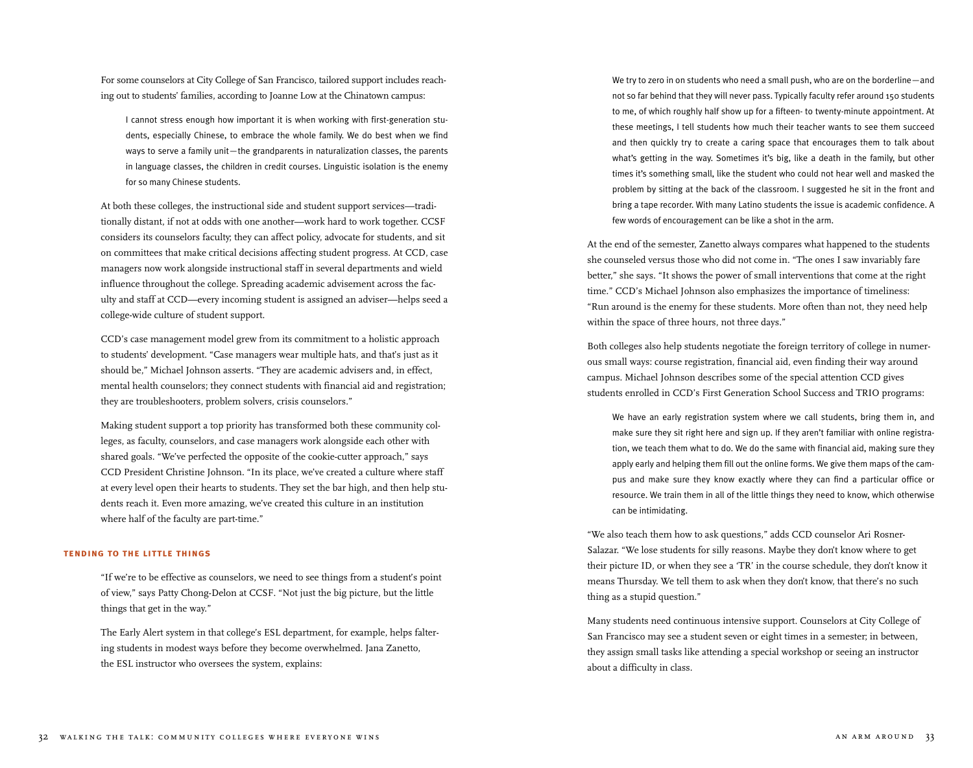For some counselors at City College of San Francisco, tailored support includes reaching out to students' families, according to Joanne Low at the Chinatown campus:

I cannot stress enough how important it is when working with first-generation students, especially Chinese, to embrace the whole family. We do best when we find ways to serve a family unit—the grandparents in naturalization classes, the parents in language classes, the children in credit courses. Linguistic isolation is the enemy for so many Chinese students.

At both these colleges, the instructional side and student support services—traditionally distant, if not at odds with one another—work hard to work together. CCSF considers its counselors faculty; they can affect policy, advocate for students, and sit on committees that make critical decisions affecting student progress. At CCD, case managers now work alongside instructional staff in several departments and wield influence throughout the college. Spreading academic advisement across the faculty and staff at CCD—every incoming student is assigned an adviser—helps seed a college-wide culture of student support.

CCD's case management model grew from its commitment to a holistic approach to students' development. "Case managers wear multiple hats, and that's just as it should be," Michael Johnson asserts. "They are academic advisers and, in effect, mental health counselors; they connect students with financial aid and registration; they are troubleshooters, problem solvers, crisis counselors."

Making student support a top priority has transformed both these community colleges, as faculty, counselors, and case managers work alongside each other with shared goals. "We've perfected the opposite of the cookie-cutter approach," says CCD President Christine Johnson. "In its place, we've created a culture where staff at every level open their hearts to students. They set the bar high, and then help students reach it. Even more amazing, we've created this culture in an institution where half of the faculty are part-time."

#### **tending to the little things**

"If we're to be effective as counselors, we need to see things from a student's point of view," says Patty Chong-Delon at CCSF. "Not just the big picture, but the little things that get in the way."

The Early Alert system in that college's ESL department, for example, helps faltering students in modest ways before they become overwhelmed. Jana Zanetto, the ESL instructor who oversees the system, explains:

We try to zero in on students who need a small push, who are on the borderline—and not so far behind that they will never pass. Typically faculty refer around 150 students to me, of which roughly half show up for a fifteen- to twenty-minute appointment. At these meetings, I tell students how much their teacher wants to see them succeed and then quickly try to create a caring space that encourages them to talk about what's getting in the way. Sometimes it's big, like a death in the family, but other times it's something small, like the student who could not hear well and masked the problem by sitting at the back of the classroom. I suggested he sit in the front and bring a tape recorder. With many Latino students the issue is academic confidence. A few words of encouragement can be like a shot in the arm.

At the end of the semester, Zanetto always compares what happened to the students she counseled versus those who did not come in. "The ones I saw invariably fare better," she says. "It shows the power of small interventions that come at the right time." CCD's Michael Johnson also emphasizes the importance of timeliness: "Run around is the enemy for these students. More often than not, they need help within the space of three hours, not three days."

Both colleges also help students negotiate the foreign territory of college in numerous small ways: course registration, financial aid, even finding their way around campus. Michael Johnson describes some of the special attention CCD gives students enrolled in CCD's First Generation School Success and TRIO programs:

We have an early registration system where we call students, bring them in, and make sure they sit right here and sign up. If they aren't familiar with online registration, we teach them what to do. We do the same with financial aid, making sure they apply early and helping them fill out the online forms. We give them maps of the campus and make sure they know exactly where they can find a particular office or resource. We train them in all of the little things they need to know, which otherwise can be intimidating.

"We also teach them how to ask questions," adds CCD counselor Ari Rosner-Salazar. "We lose students for silly reasons. Maybe they don't know where to get their picture ID, or when they see a 'TR' in the course schedule, they don't know it means Thursday. We tell them to ask when they don't know, that there's no such thing as a stupid question."

Many students need continuous intensive support. Counselors at City College of San Francisco may see a student seven or eight times in a semester; in between, they assign small tasks like attending a special workshop or seeing an instructor about a difficulty in class.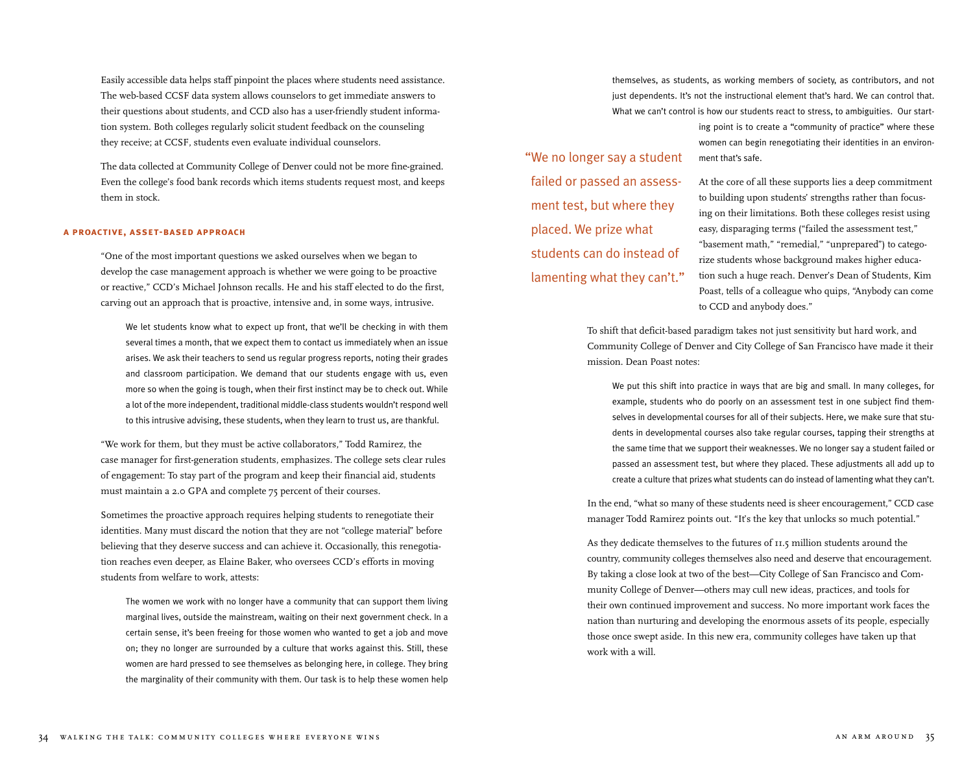Easily accessible data helps staff pinpoint the places where students need assistance. The web-based CCSF data system allows counselors to get immediate answers to their questions about students, and CCD also has a user-friendly student information system. Both colleges regularly solicit student feedback on the counseling they receive; at CCSF, students even evaluate individual counselors.

The data collected at Community College of Denver could not be more fine-grained. Even the college's food bank records which items students request most, and keeps them in stock.

#### **a proactive, asset-based approach**

"One of the most important questions we asked ourselves when we began to develop the case management approach is whether we were going to be proactive or reactive," CCD's Michael Johnson recalls. He and his staff elected to do the first, carving out an approach that is proactive, intensive and, in some ways, intrusive.

We let students know what to expect up front, that we'll be checking in with them several times a month, that we expect them to contact us immediately when an issue arises. We ask their teachers to send us regular progress reports, noting their grades and classroom participation. We demand that our students engage with us, even more so when the going is tough, when their first instinct may be to check out. While a lot of the more independent, traditional middle-class students wouldn't respond well to this intrusive advising, these students, when they learn to trust us, are thankful.

"We work for them, but they must be active collaborators," Todd Ramirez, the case manager for first-generation students, emphasizes. The college sets clear rules of engagement: To stay part of the program and keep their financial aid, students must maintain a 2.0 GPA and complete 75 percent of their courses.

Sometimes the proactive approach requires helping students to renegotiate their identities. Many must discard the notion that they are not "college material" before believing that they deserve success and can achieve it. Occasionally, this renegotiation reaches even deeper, as Elaine Baker, who oversees CCD's efforts in moving students from welfare to work, attests:

The women we work with no longer have a community that can support them living marginal lives, outside the mainstream, waiting on their next government check. In a certain sense, it's been freeing for those women who wanted to get a job and move on; they no longer are surrounded by a culture that works against this. Still, these women are hard pressed to see themselves as belonging here, in college. They bring the marginality of their community with them. Our task is to help these women help themselves, as students, as working members of society, as contributors, and not just dependents. It's not the instructional element that's hard. We can control that. What we can't control is how our students react to stress, to ambiguities. Our start-

"We no longer say a student failed or passed an assessment test, but where they placed. We prize what students can do instead of lamenting what they can't." ing point is to create a "community of practice" where these women can begin renegotiating their identities in an environment that's safe.

At the core of all these supports lies a deep commitment to building upon students' strengths rather than focusing on their limitations. Both these colleges resist using easy, disparaging terms ("failed the assessment test," "basement math," "remedial," "unprepared") to categorize students whose background makes higher education such a huge reach. Denver's Dean of Students, Kim Poast, tells of a colleague who quips, "Anybody can come to CCD and anybody does."

To shift that deficit-based paradigm takes not just sensitivity but hard work, and Community College of Denver and City College of San Francisco have made it their mission. Dean Poast notes:

We put this shift into practice in ways that are big and small. In many colleges, for example, students who do poorly on an assessment test in one subject find themselves in developmental courses for all of their subjects. Here, we make sure that students in developmental courses also take regular courses, tapping their strengths at the same time that we support their weaknesses. We no longer say a student failed or passed an assessment test, but where they placed. These adjustments all add up to create a culture that prizes what students can do instead of lamenting what they can't.

In the end, "what so many of these students need is sheer encouragement," CCD case manager Todd Ramirez points out. "It's the key that unlocks so much potential."

As they dedicate themselves to the futures of 11.5 million students around the country, community colleges themselves also need and deserve that encouragement. By taking a close look at two of the best—City College of San Francisco and Community College of Denver—others may cull new ideas, practices, and tools for their own continued improvement and success. No more important work faces the nation than nurturing and developing the enormous assets of its people, especially those once swept aside. In this new era, community colleges have taken up that work with a will.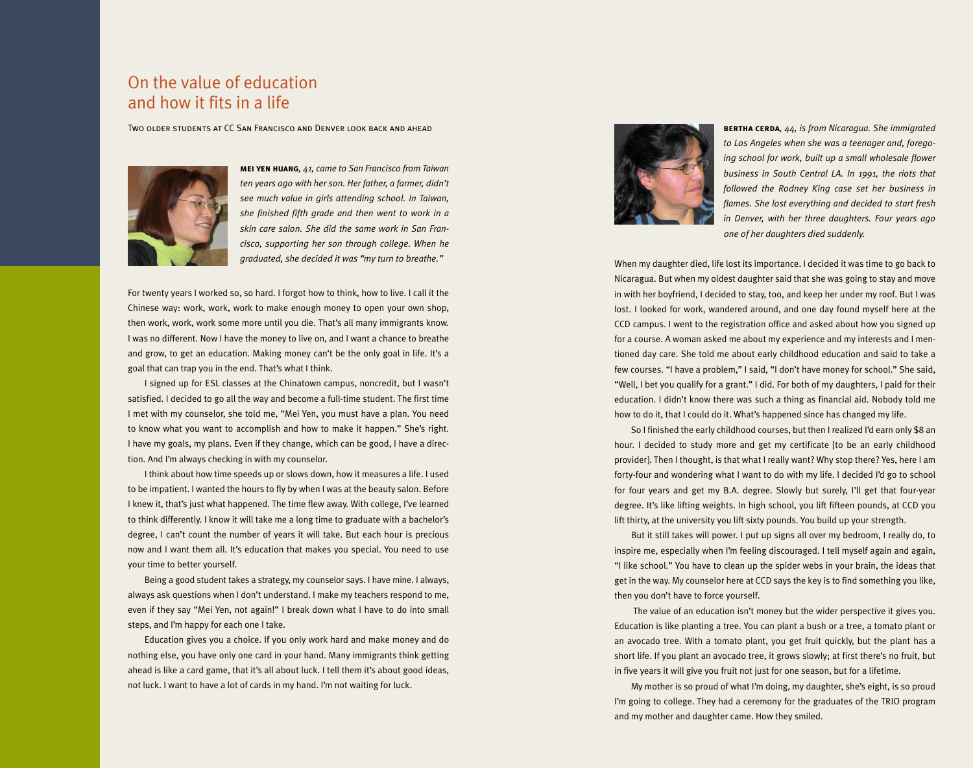### On the value of education and how it fits in a life

Two older students at CC San Francisco and Denver look back and ahead



**mei yen huang***, 41, came to San Francisco from Taiwan ten years ago with her son. Her father, a farmer, didn't see much value in girls attending school. In Taiwan, she finished fifth grade and then went to work in a skin care salon. She did the same work in San Francisco, supporting her son through college. When he graduated, she decided it was "my turn to breathe."* 

For twenty years I worked so, so hard. I forgot how to think, how to live. I call it the Chinese way: work, work, work to make enough money to open your own shop, then work, work, work some more until you die. That's all many immigrants know. I was no different. Now I have the money to live on, and I want a chance to breathe and grow, to get an education. Making money can't be the only goal in life. It's a goal that can trap you in the end. That's what I think.

I signed up for ESL classes at the Chinatown campus, noncredit, but I wasn't satisfied. I decided to go all the way and become a full-time student. The first time I met with my counselor, she told me, "Mei Yen, you must have a plan. You need to know what you want to accomplish and how to make it happen." She's right. I have my goals, my plans. Even if they change, which can be good, I have a direction. And I'm always checking in with my counselor.

I think about how time speeds up or slows down, how it measures a life. I used to be impatient. I wanted the hours to fly by when I was at the beauty salon. Before I knew it, that's just what happened. The time flew away. With college, I've learned to think differently. I know it will take me a long time to graduate with a bachelor's degree, I can't count the number of years it will take. But each hour is precious now and I want them all. It's education that makes you special. You need to use your time to better yourself.

Being a good student takes a strategy, my counselor says. I have mine. I always, always ask questions when I don't understand. I make my teachers respond to me, even if they say "Mei Yen, not again!" I break down what I have to do into small steps, and I'm happy for each one I take.

Education gives you a choice. If you only work hard and make money and do nothing else, you have only one card in your hand. Many immigrants think getting ahead is like a card game, that it's all about luck. I tell them it's about good ideas, not luck. I want to have a lot of cards in my hand. I'm not waiting for luck.



**bertha cerda***, 44, is from Nicaragua. She immigrated to Los Angeles when she was a teenager and, foregoing school for work, built up a small wholesale flower business in South Central LA. In 1991, the riots that followed the Rodney King case set her business in flames. She lost everything and decided to start fresh in Denver, with her three daughters. Four years ago one of her daughters died suddenly.*

When my daughter died, life lost its importance. I decided it was time to go back to Nicaragua. But when my oldest daughter said that she was going to stay and move in with her boyfriend, I decided to stay, too, and keep her under my roof. But I was lost. I looked for work, wandered around, and one day found myself here at the CCD campus. I went to the registration office and asked about how you signed up for a course. A woman asked me about my experience and my interests and I mentioned day care. She told me about early childhood education and said to take a few courses. "I have a problem," I said, "I don't have money for school." She said, "Well, I bet you qualify for a grant." I did. For both of my daughters, I paid for their education. I didn't know there was such a thing as financial aid. Nobody told me how to do it, that I could do it. What's happened since has changed my life.

So I finished the early childhood courses, but then I realized I'd earn only \$8 an hour. I decided to study more and get my certificate [to be an early childhood provider]. Then I thought, is that what I really want? Why stop there? Yes, here I am forty-four and wondering what I want to do with my life. I decided I'd go to school for four years and get my B.A. degree. Slowly but surely, I'll get that four-year degree. It's like lifting weights. In high school, you lift fifteen pounds, at CCD you lift thirty, at the university you lift sixty pounds. You build up your strength.

But it still takes will power. I put up signs all over my bedroom, I really do, to inspire me, especially when I'm feeling discouraged. I tell myself again and again, "I like school." You have to clean up the spider webs in your brain, the ideas that get in the way. My counselor here at CCD says the key is to find something you like, then you don't have to force yourself.

The value of an education isn't money but the wider perspective it gives you. Education is like planting a tree. You can plant a bush or a tree, a tomato plant or an avocado tree. With a tomato plant, you get fruit quickly, but the plant has a short life. If you plant an avocado tree, it grows slowly; at first there's no fruit, but in five years it will give you fruit not just for one season, but for a lifetime.

My mother is so proud of what I'm doing, my daughter, she's eight, is so proud I'm going to college. They had a ceremony for the graduates of the TRIO program and my mother and daughter came. How they smiled.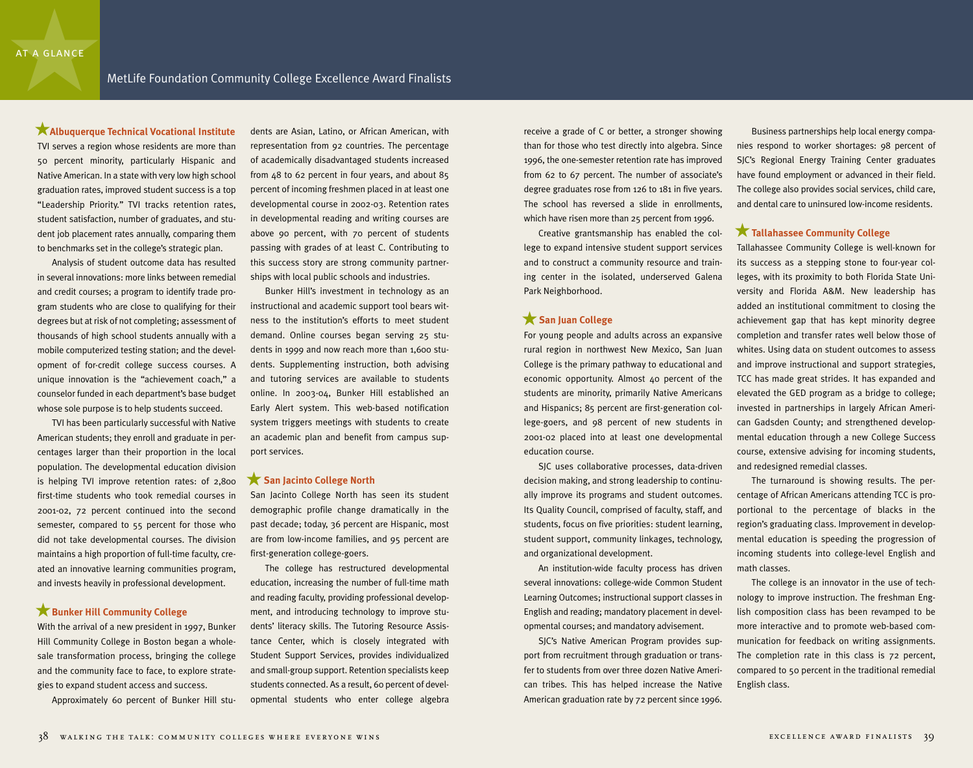### **Albuquerque Technical Vocational Institute** ★

TVI serves a region whose residents are more than 50 percent minority, particularly Hispanic and Native American. In a state with very low high school graduation rates, improved student success is a top "Leadership Priority." TVI tracks retention rates, student satisfaction, number of graduates, and student job placement rates annually, comparing them to benchmarks set in the college's strategic plan.

Analysis of student outcome data has resulted in several innovations: more links between remedial and credit courses; a program to identify trade program students who are close to qualifying for their degrees but at risk of not completing; assessment of thousands of high school students annually with a mobile computerized testing station; and the development of for-credit college success courses. A unique innovation is the "achievement coach," a counselor funded in each department's base budget whose sole purpose is to help students succeed.

TVI has been particularly successful with Native American students; they enroll and graduate in percentages larger than their proportion in the local population. The developmental education division is helping TVI improve retention rates: of 2,800 first-time students who took remedial courses in 2001-02, 72 percent continued into the second semester, compared to 55 percent for those who did not take developmental courses. The division maintains a high proportion of full-time faculty, created an innovative learning communities program, and invests heavily in professional development.

### **Bunker Hill Community College** ★

With the arrival of a new president in 1997, Bunker Hill Community College in Boston began a wholesale transformation process, bringing the college and the community face to face, to explore strategies to expand student access and success.

Approximately 60 percent of Bunker Hill stu-

dents are Asian, Latino, or African American, with representation from 92 countries. The percentage of academically disadvantaged students increased from 48 to 62 percent in four years, and about 85 percent of incoming freshmen placed in at least one developmental course in 2002-03. Retention rates in developmental reading and writing courses are above 90 percent, with 70 percent of students passing with grades of at least C. Contributing to this success story are strong community partnerships with local public schools and industries.

Bunker Hill's investment in technology as an instructional and academic support tool bears witness to the institution's efforts to meet student demand. Online courses began serving 25 students in 1999 and now reach more than 1,600 students. Supplementing instruction, both advising and tutoring services are available to students online. In 2003-04, Bunker Hill established an Early Alert system. This web-based notification system triggers meetings with students to create an academic plan and benefit from campus support services.

### **San Jacinto College North** ★

San Jacinto College North has seen its student demographic profile change dramatically in the past decade; today, 36 percent are Hispanic, most are from low-income families, and 95 percent are first-generation college-goers.

The college has restructured developmental education, increasing the number of full-time math and reading faculty, providing professional development, and introducing technology to improve students' literacy skills. The Tutoring Resource Assistance Center, which is closely integrated with Student Support Services, provides individualized and small-group support. Retention specialists keep students connected. As a result, 60 percent of developmental students who enter college algebra

receive a grade of C or better, a stronger showing than for those who test directly into algebra. Since 1996, the one-semester retention rate has improved from 62 to 67 percent. The number of associate's degree graduates rose from 126 to 181 in five years. The school has reversed a slide in enrollments, which have risen more than 25 percent from 1996.

Creative grantsmanship has enabled the college to expand intensive student support services and to construct a community resource and training center in the isolated, underserved Galena Park Neighborhood.

### **San Juan College**  ★

For young people and adults across an expansive rural region in northwest New Mexico, San Juan College is the primary pathway to educational and economic opportunity. Almost 40 percent of the students are minority, primarily Native Americans and Hispanics; 85 percent are first-generation college-goers, and 98 percent of new students in 2001-02 placed into at least one developmental education course.

SJC uses collaborative processes, data-driven decision making, and strong leadership to continually improve its programs and student outcomes. Its Quality Council, comprised of faculty, staff, and students, focus on five priorities: student learning, student support, community linkages, technology, and organizational development.

An institution-wide faculty process has driven several innovations: college-wide Common Student Learning Outcomes; instructional support classes in English and reading; mandatory placement in developmental courses; and mandatory advisement.

SJC's Native American Program provides support from recruitment through graduation or transfer to students from over three dozen Native American tribes. This has helped increase the Native American graduation rate by 72 percent since 1996.

Business partnerships help local energy companies respond to worker shortages: 98 percent of SJC's Regional Energy Training Center graduates have found employment or advanced in their field. The college also provides social services, child care, and dental care to uninsured low-income residents.

### **Tallahassee Community College** ★

Tallahassee Community College is well-known for its success as a stepping stone to four-year colleges, with its proximity to both Florida State University and Florida A&M. New leadership has added an institutional commitment to closing the achievement gap that has kept minority degree completion and transfer rates well below those of whites. Using data on student outcomes to assess and improve instructional and support strategies, TCC has made great strides. It has expanded and elevated the GED program as a bridge to college; invested in partnerships in largely African American Gadsden County; and strengthened developmental education through a new College Success course, extensive advising for incoming students, and redesigned remedial classes.

The turnaround is showing results. The percentage of African Americans attending TCC is proportional to the percentage of blacks in the region's graduating class. Improvement in developmental education is speeding the progression of incoming students into college-level English and math classes.

The college is an innovator in the use of technology to improve instruction. The freshman English composition class has been revamped to be more interactive and to promote web-based communication for feedback on writing assignments. The completion rate in this class is 72 percent, compared to 50 percent in the traditional remedial English class.